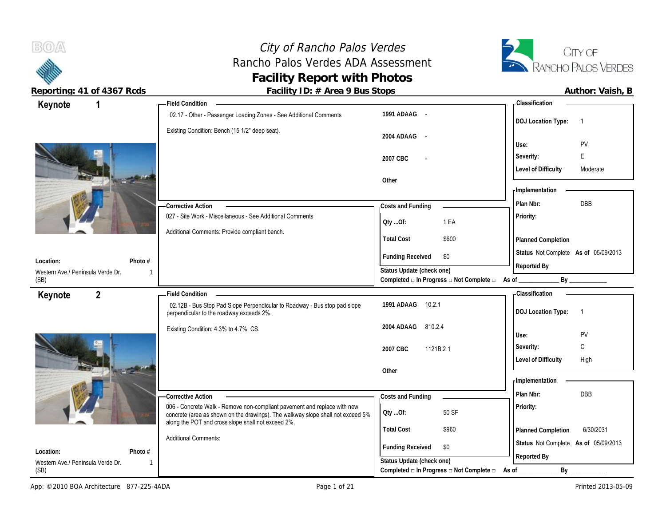## City of Rancho Palos Verdes City of Rancho Palos Verdes<br>
Rancho Palos Verdes ADA Assessment<br>
RANCHO PALOS VERDES **Facility Report with Photos**



 $B(0)$ 

Reporting: 41 of 4367 Rcds **Facility ID: # Area 9 Bus Stops Author: Vaish, B** Author: Vaish, B

| Author: Vaish, E |  |
|------------------|--|
|------------------|--|

| Keynote<br>1                                                | <b>Field Condition</b>                                                                                                                                      |                                                             | - Classification                            |
|-------------------------------------------------------------|-------------------------------------------------------------------------------------------------------------------------------------------------------------|-------------------------------------------------------------|---------------------------------------------|
|                                                             | 02.17 - Other - Passenger Loading Zones - See Additional Comments                                                                                           | 1991 ADAAG -                                                | <b>DOJ Location Type:</b><br>$\overline{1}$ |
|                                                             | Existing Condition: Bench (15 1/2" deep seat).                                                                                                              | 2004 ADAAG<br>$\sim$ $-$                                    | PV<br>Use:                                  |
|                                                             |                                                                                                                                                             | 2007 CBC                                                    | E<br>Severity:                              |
|                                                             |                                                                                                                                                             |                                                             | <b>Level of Difficulty</b><br>Moderate      |
|                                                             |                                                                                                                                                             | Other                                                       |                                             |
|                                                             |                                                                                                                                                             |                                                             | - Implementation                            |
|                                                             | Corrective Action                                                                                                                                           | Costs and Funding                                           | <b>DBB</b><br>Plan Nbr:                     |
|                                                             | 027 - Site Work - Miscellaneous - See Additional Comments                                                                                                   | 1 EA<br>Qty Of:                                             | Priority:                                   |
|                                                             | Additional Comments: Provide compliant bench.                                                                                                               | <b>Total Cost</b><br>\$600                                  | <b>Planned Completion</b>                   |
| Location:<br>Photo #                                        |                                                                                                                                                             | <b>Funding Received</b><br>\$0                              | Status Not Complete As of 05/09/2013        |
| Western Ave./ Peninsula Verde Dr.                           |                                                                                                                                                             | Status Update (check one)                                   | Reported By                                 |
| (SB)                                                        |                                                                                                                                                             | Completed a In Progress a Not Complete a As of              | By                                          |
| $2^{\circ}$<br>Keynote                                      | <b>Field Condition</b>                                                                                                                                      |                                                             | - Classification                            |
|                                                             |                                                                                                                                                             |                                                             |                                             |
|                                                             | 02.12B - Bus Stop Pad Slope Perpendicular to Roadway - Bus stop pad slope<br>perpendicular to the roadway exceeds 2%.                                       | 1991 ADAAG<br>10.2.1                                        | <b>DOJ Location Type:</b><br>$\overline{1}$ |
|                                                             | Existing Condition: 4.3% to 4.7% CS.                                                                                                                        | 810.2.4<br>2004 ADAAG                                       |                                             |
|                                                             |                                                                                                                                                             |                                                             | PV<br>Use:                                  |
|                                                             |                                                                                                                                                             | 2007 CBC<br>1121B.2.1                                       | C<br>Severity:                              |
| <b>STATE</b>                                                |                                                                                                                                                             | Other                                                       | <b>Level of Difficulty</b><br>High          |
|                                                             |                                                                                                                                                             |                                                             | - Implementation                            |
|                                                             | Corrective Action                                                                                                                                           | Costs and Funding                                           | Plan Nbr:<br><b>DBB</b>                     |
|                                                             | 006 - Concrete Walk - Remove non-compliant pavement and replace with new<br>concrete (area as shown on the drawings). The walkway slope shall not exceed 5% | 50 SF<br>Qty Of:                                            | Priority:                                   |
|                                                             | along the POT and cross slope shall not exceed 2%.                                                                                                          | <b>Total Cost</b><br>\$960                                  | 6/30/2031<br>Planned Completion             |
|                                                             | <b>Additional Comments:</b>                                                                                                                                 |                                                             | Status Not Complete As of 05/09/2013        |
| Location:<br>Photo $#$<br>Western Ave./ Peninsula Verde Dr. |                                                                                                                                                             | <b>Funding Received</b><br>\$0<br>Status Update (check one) | Reported By                                 |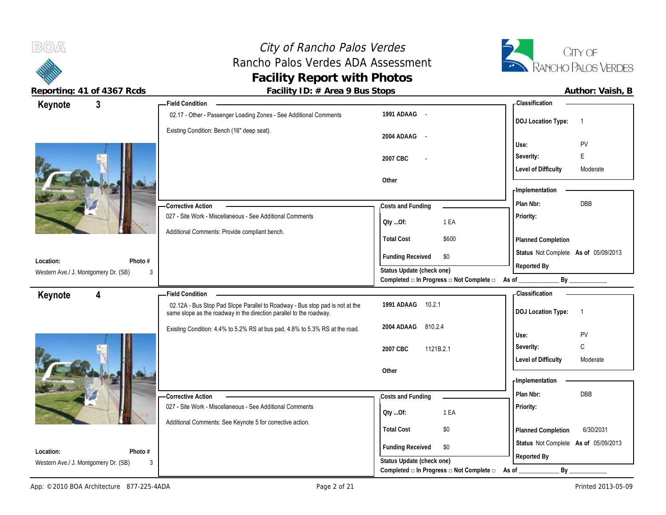

 $B(0)$ 

**Reporting: 41 of 4367 Rcds Facility ID: # Area 9 Bus Stops Author: Vaish, B**

| 3<br>Keynote                              | <b>Field Condition</b>                                                                                                                              |                                          | <b>Classification</b>                                      |
|-------------------------------------------|-----------------------------------------------------------------------------------------------------------------------------------------------------|------------------------------------------|------------------------------------------------------------|
|                                           | 02.17 - Other - Passenger Loading Zones - See Additional Comments                                                                                   | 1991 ADAAG -                             |                                                            |
|                                           | Existing Condition: Bench (16" deep seat).                                                                                                          | 2004 ADAAG -                             | <b>DOJ</b> Location Type:<br>$\overline{1}$<br>PV<br>Use:  |
|                                           |                                                                                                                                                     | 2007 CBC<br>$\overline{\phantom{a}}$     | E<br>Severity:                                             |
|                                           |                                                                                                                                                     | Other                                    | <b>Level of Difficulty</b><br>Moderate<br>- Implementation |
|                                           | -Corrective Action                                                                                                                                  | Costs and Funding                        | DBB<br>Plan Nbr:                                           |
|                                           | 027 - Site Work - Miscellaneous - See Additional Comments                                                                                           | 1 EA<br>QtyOf:                           | Priority:                                                  |
|                                           | Additional Comments: Provide compliant bench.                                                                                                       | <b>Total Cost</b><br>\$600               | Planned Completion                                         |
| Photo #<br>Location:                      |                                                                                                                                                     | <b>Funding Received</b><br>\$0           | Status Not Complete As of 05/09/2013                       |
| Western Ave./ J. Montgomery Dr. (SB)<br>3 |                                                                                                                                                     | Status Update (check one)                | Reported By                                                |
|                                           |                                                                                                                                                     | Completed □ In Progress □ Not Complete □ | As of<br>By                                                |
| $\overline{\mathbf{4}}$<br>Keynote        | <b>Field Condition</b>                                                                                                                              |                                          | - Classification                                           |
|                                           | 02.12A - Bus Stop Pad Slope Parallel to Roadway - Bus stop pad is not at the<br>same slope as the roadway in the direction parallel to the roadway. | 1991 ADAAG<br>10.2.1                     | <b>DOJ</b> Location Type:<br>$\overline{1}$                |
|                                           |                                                                                                                                                     |                                          |                                                            |
|                                           | Existing Condition: 4.4% to 5.2% RS at bus pad, 4.8% to 5.3% RS at the road.                                                                        | 2004 ADAAG<br>810.2.4                    |                                                            |
|                                           |                                                                                                                                                     | 2007 CBC<br>1121B.2.1                    | PV<br>Use:<br>$\mathsf{C}$<br>Severity:                    |
|                                           |                                                                                                                                                     |                                          | <b>Level of Difficulty</b><br>Moderate                     |
|                                           |                                                                                                                                                     | Other                                    | - Implementation                                           |
|                                           | -Corrective Action                                                                                                                                  | Costs and Funding                        | Plan Nbr:<br>DBB                                           |
|                                           | 027 - Site Work - Miscellaneous - See Additional Comments                                                                                           | 1 EA<br>Qty Of:                          | Priority:                                                  |
|                                           | Additional Comments: See Keynote 5 for corrective action.                                                                                           | <b>Total Cost</b><br>$\$0$               | 6/30/2031<br>Planned Completion                            |
| Location:<br>Photo #                      |                                                                                                                                                     | <b>Funding Received</b><br>\$0           | Status Not Complete As of 05/09/2013                       |

Completed **□** In Progress □ Not Complete □ As of \_\_\_\_\_\_\_\_\_\_\_\_\_\_\_\_\_\_\_\_\_\_\_\_\_\_\_\_\_\_\_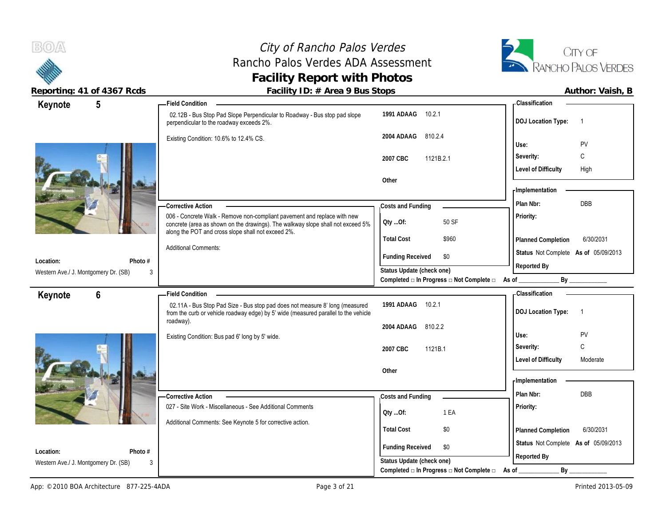



| Keynote                              | 5              | <b>Field Condition</b>                                                                                                                                                                                            |                                                                                                       | <b>Classification</b>                                                                                                                                                                                                          |
|--------------------------------------|----------------|-------------------------------------------------------------------------------------------------------------------------------------------------------------------------------------------------------------------|-------------------------------------------------------------------------------------------------------|--------------------------------------------------------------------------------------------------------------------------------------------------------------------------------------------------------------------------------|
|                                      |                | 02.12B - Bus Stop Pad Slope Perpendicular to Roadway - Bus stop pad slope<br>perpendicular to the roadway exceeds 2%.                                                                                             | 10.2.1<br>1991 ADAAG                                                                                  | <b>DOJ</b> Location Type:<br>$\overline{1}$                                                                                                                                                                                    |
|                                      |                | Existing Condition: 10.6% to 12.4% CS.                                                                                                                                                                            | 2004 ADAAG<br>810.2.4                                                                                 | Use:<br>PV                                                                                                                                                                                                                     |
|                                      |                |                                                                                                                                                                                                                   | 1121B.2.1<br>2007 CBC                                                                                 | C<br>Severity:                                                                                                                                                                                                                 |
|                                      |                |                                                                                                                                                                                                                   |                                                                                                       | <b>Level of Difficulty</b><br>High                                                                                                                                                                                             |
|                                      |                |                                                                                                                                                                                                                   | Other                                                                                                 |                                                                                                                                                                                                                                |
|                                      |                |                                                                                                                                                                                                                   |                                                                                                       | - Implementation                                                                                                                                                                                                               |
|                                      |                | <b>Corrective Action</b>                                                                                                                                                                                          | Costs and Funding                                                                                     | DBB<br>Plan Nbr:                                                                                                                                                                                                               |
|                                      |                | 006 - Concrete Walk - Remove non-compliant pavement and replace with new<br>concrete (area as shown on the drawings). The walkway slope shall not exceed 5%<br>along the POT and cross slope shall not exceed 2%. | 50 SF<br>Oty Of:                                                                                      | Priority:                                                                                                                                                                                                                      |
|                                      |                |                                                                                                                                                                                                                   | <b>Total Cost</b><br>\$960                                                                            | 6/30/2031<br>Planned Completion                                                                                                                                                                                                |
|                                      |                | <b>Additional Comments:</b>                                                                                                                                                                                       |                                                                                                       | Status Not Complete As of 05/09/2013                                                                                                                                                                                           |
| Location:                            | Photo #        |                                                                                                                                                                                                                   | <b>Funding Received</b><br>\$0                                                                        | Reported By                                                                                                                                                                                                                    |
| Western Ave./ J. Montgomery Dr. (SB) | 3              |                                                                                                                                                                                                                   | Status Update (check one)<br>Completed $\square$ In Progress $\square$ Not Complete $\square$ As of _ | By the contract of the contract of the contract of the contract of the contract of the contract of the contract of the contract of the contract of the contract of the contract of the contract of the contract of the contrac |
|                                      |                |                                                                                                                                                                                                                   |                                                                                                       |                                                                                                                                                                                                                                |
| Keynote                              | $6\phantom{a}$ | <b>Field Condition</b><br>02.11A - Bus Stop Pad Size - Bus stop pad does not measure 8' long (measured                                                                                                            | 10.2.1                                                                                                | - Classification                                                                                                                                                                                                               |
|                                      |                |                                                                                                                                                                                                                   | 1991 ADAAG                                                                                            |                                                                                                                                                                                                                                |
|                                      |                |                                                                                                                                                                                                                   |                                                                                                       | <b>DOJ</b> Location Type:<br>$\overline{1}$                                                                                                                                                                                    |
|                                      |                | from the curb or vehicle roadway edge) by 5' wide (measured parallel to the vehicle<br>roadway).                                                                                                                  |                                                                                                       |                                                                                                                                                                                                                                |
|                                      |                |                                                                                                                                                                                                                   | 2004 ADAAG<br>810.2.2                                                                                 | PV<br>Use:                                                                                                                                                                                                                     |
|                                      |                | Existing Condition: Bus pad 6' long by 5' wide.                                                                                                                                                                   | 2007 CBC<br>1121B.1                                                                                   | C<br>Severity:                                                                                                                                                                                                                 |
|                                      |                |                                                                                                                                                                                                                   |                                                                                                       | <b>Level of Difficulty</b><br>Moderate                                                                                                                                                                                         |
|                                      |                |                                                                                                                                                                                                                   | Other                                                                                                 |                                                                                                                                                                                                                                |
|                                      |                |                                                                                                                                                                                                                   |                                                                                                       | - Implementation                                                                                                                                                                                                               |
|                                      |                | -Corrective Action                                                                                                                                                                                                | Costs and Funding                                                                                     | Plan Nbr:<br>DBB                                                                                                                                                                                                               |
|                                      |                | 027 - Site Work - Miscellaneous - See Additional Comments                                                                                                                                                         |                                                                                                       | Priority:                                                                                                                                                                                                                      |
|                                      |                |                                                                                                                                                                                                                   | 1 EA<br>QtyOf:                                                                                        |                                                                                                                                                                                                                                |
|                                      |                | Additional Comments: See Keynote 5 for corrective action.                                                                                                                                                         | <b>Total Cost</b><br>\$0                                                                              | 6/30/2031<br>Planned Completion                                                                                                                                                                                                |
| Location:                            | Photo #        |                                                                                                                                                                                                                   | <b>Funding Received</b><br>\$0                                                                        | Status Not Complete As of 05/09/2013                                                                                                                                                                                           |
| Western Ave./ J. Montgomery Dr. (SB) | 3              |                                                                                                                                                                                                                   | Status Update (check one)<br>Completed □ In Progress □ Not Complete □                                 | Reported By<br>$By_$<br>As of                                                                                                                                                                                                  |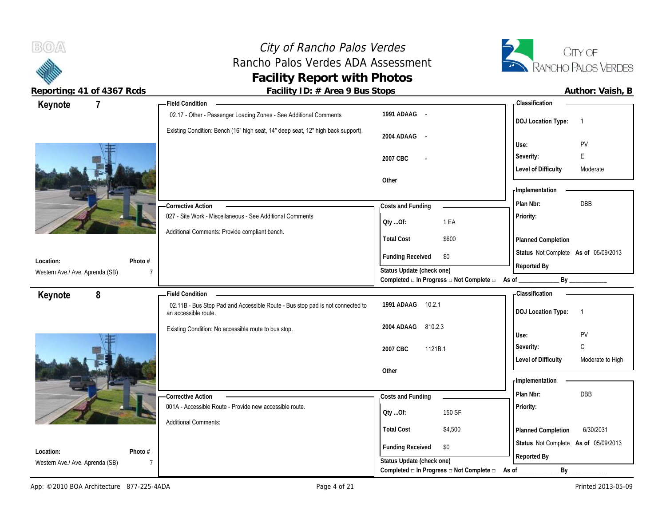# City of Rancho Palos Verdes<br>
ho Palos Verdes ADA Assessment<br>
RANCHO PALOS VERDES Rancho Palos Verdes ADA Assessment **Facility Report with Photos**



 $B(0)$ 

**Reporting: 41 of 4367 Rcds Facility ID: # Area 9 Bus Stops** 

| $\overline{7}$<br>Keynote       |                | <b>Field Condition</b>                                                                                |                                                                                              | - Classification                               |
|---------------------------------|----------------|-------------------------------------------------------------------------------------------------------|----------------------------------------------------------------------------------------------|------------------------------------------------|
|                                 |                | 02.17 - Other - Passenger Loading Zones - See Additional Comments                                     | 1991 ADAAG -                                                                                 | <b>DOJ Location Type:</b><br>$\overline{1}$    |
|                                 |                | Existing Condition: Bench (16" high seat, 14" deep seat, 12" high back support).                      | 2004 ADAAG -                                                                                 |                                                |
|                                 |                |                                                                                                       |                                                                                              | PV<br>Use:                                     |
|                                 |                |                                                                                                       | 2007 CBC<br>$\overline{a}$                                                                   | E<br>Severity:                                 |
|                                 |                |                                                                                                       |                                                                                              | <b>Level of Difficulty</b><br>Moderate         |
|                                 |                |                                                                                                       | Other                                                                                        | - Implementation                               |
|                                 |                |                                                                                                       |                                                                                              | DBB<br>Plan Nbr:                               |
|                                 |                | -Corrective Action<br>027 - Site Work - Miscellaneous - See Additional Comments                       | Costs and Funding                                                                            | Priority:                                      |
|                                 |                |                                                                                                       | 1 EA<br>Qty Of:                                                                              |                                                |
|                                 |                | Additional Comments: Provide compliant bench.                                                         | <b>Total Cost</b><br>\$600                                                                   | Planned Completion                             |
|                                 |                |                                                                                                       |                                                                                              | Status Not Complete As of 05/09/2013           |
| Location:                       | Photo #        |                                                                                                       | <b>Funding Received</b><br>\$0                                                               | Reported By                                    |
| Western Ave./ Ave. Aprenda (SB) | $\overline{7}$ |                                                                                                       | Status Update (check one)<br>Completed $\Box$ In Progress $\Box$ Not Complete $\Box$ As of _ | By                                             |
| 8<br>Keynote                    |                | <b>Field Condition</b>                                                                                |                                                                                              | <b>Classification</b>                          |
|                                 |                | 02.11B - Bus Stop Pad and Accessible Route - Bus stop pad is not connected to<br>an accessible route. | 1991 ADAAG<br>10.2.1                                                                         | <b>DOJ Location Type:</b><br>$\overline{1}$    |
|                                 |                | Existing Condition: No accessible route to bus stop.                                                  | 810.2.3<br>2004 ADAAG                                                                        |                                                |
|                                 |                |                                                                                                       |                                                                                              | Use:<br>PV                                     |
|                                 |                |                                                                                                       | 2007 CBC<br>1121B.1                                                                          | $\mathtt{C}$<br>Severity:                      |
|                                 |                |                                                                                                       |                                                                                              | <b>Level of Difficulty</b><br>Moderate to High |
|                                 |                |                                                                                                       |                                                                                              |                                                |
|                                 |                |                                                                                                       | Other                                                                                        |                                                |
|                                 |                |                                                                                                       |                                                                                              | - Implementation                               |
|                                 |                | Corrective Action                                                                                     | Costs and Funding                                                                            | DBB<br>Plan Nbr:                               |
|                                 |                | 001A - Accessible Route - Provide new accessible route.                                               | 150 SF<br>QtyOf:                                                                             | Priority:                                      |
|                                 |                | <b>Additional Comments:</b>                                                                           | <b>Total Cost</b><br>\$4,500                                                                 |                                                |
|                                 |                |                                                                                                       |                                                                                              | 6/30/2031<br>Planned Completion                |
| Location:                       | Photo #        |                                                                                                       | <b>Funding Received</b><br>\$0                                                               | Status Not Complete As of 05/09/2013           |
| Western Ave./ Ave. Aprenda (SB) | 7              |                                                                                                       | Status Update (check one)<br>Completed $\Box$ In Progress $\Box$ Not Complete $\Box$         | Reported By<br>$By_$<br>As of                  |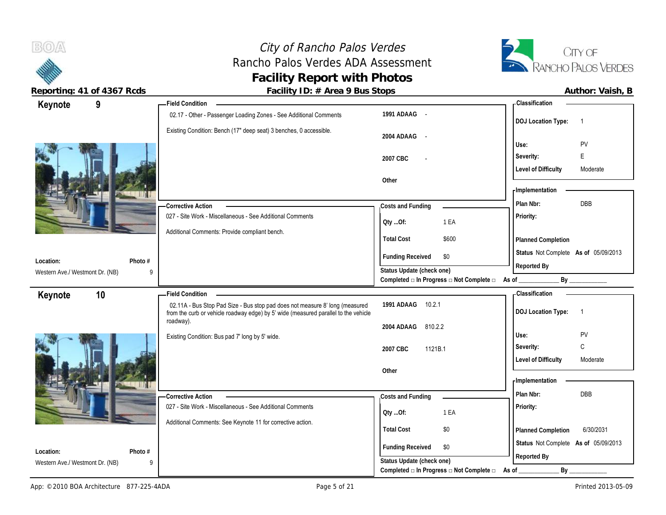

 $B(0)$ 

| Author: Vaish, B |  |
|------------------|--|
|------------------|--|

| 9<br>Keynote                         | <b>Field Condition</b>                                                                                                                                                                        |                                                                                      | - Classification                                                     |
|--------------------------------------|-----------------------------------------------------------------------------------------------------------------------------------------------------------------------------------------------|--------------------------------------------------------------------------------------|----------------------------------------------------------------------|
|                                      | 02.17 - Other - Passenger Loading Zones - See Additional Comments                                                                                                                             | 1991 ADAAG -                                                                         | <b>DOJ Location Type:</b><br>$\overline{1}$                          |
|                                      | Existing Condition: Bench (17" deep seat) 3 benches, 0 accessible.                                                                                                                            | 2004 ADAAG<br>$\sim$ $-$                                                             | PV<br>Use:                                                           |
|                                      |                                                                                                                                                                                               |                                                                                      |                                                                      |
|                                      |                                                                                                                                                                                               | 2007 CBC                                                                             | E<br>Severity:                                                       |
|                                      |                                                                                                                                                                                               |                                                                                      | <b>Level of Difficulty</b><br>Moderate                               |
|                                      |                                                                                                                                                                                               | Other                                                                                | - Implementation                                                     |
|                                      |                                                                                                                                                                                               |                                                                                      | <b>DBB</b><br>Plan Nbr:                                              |
|                                      | <b>Corrective Action</b>                                                                                                                                                                      | Costs and Funding                                                                    |                                                                      |
|                                      | 027 - Site Work - Miscellaneous - See Additional Comments                                                                                                                                     | 1 EA<br>QtyOf:                                                                       | Priority:                                                            |
|                                      | Additional Comments: Provide compliant bench.                                                                                                                                                 | <b>Total Cost</b><br>\$600                                                           | Planned Completion                                                   |
|                                      |                                                                                                                                                                                               | <b>Funding Received</b><br>\$0                                                       | Status Not Complete As of 05/09/2013                                 |
| Location:<br>Photo #                 |                                                                                                                                                                                               | Status Update (check one)                                                            | Reported By                                                          |
| Western Ave./ Westmont Dr. (NB)<br>9 |                                                                                                                                                                                               | Completed □ In Progress □ Not Complete □ As of                                       | By                                                                   |
|                                      |                                                                                                                                                                                               |                                                                                      |                                                                      |
|                                      |                                                                                                                                                                                               |                                                                                      |                                                                      |
| 10<br>Keynote                        | <b>Field Condition</b><br>02.11A - Bus Stop Pad Size - Bus stop pad does not measure 8' long (measured<br>from the curb or vehicle roadway edge) by 5' wide (measured parallel to the vehicle | 1991 ADAAG<br>10.2.1                                                                 | <b>Classification</b><br><b>DOJ Location Type:</b><br>$\overline{1}$ |
|                                      | roadway).                                                                                                                                                                                     | 2004 ADAAG<br>810.2.2                                                                |                                                                      |
|                                      | Existing Condition: Bus pad 7' long by 5' wide.                                                                                                                                               |                                                                                      | PV<br>Use:                                                           |
|                                      |                                                                                                                                                                                               | 2007 CBC<br>1121B.1                                                                  | C<br>Severity:                                                       |
|                                      |                                                                                                                                                                                               |                                                                                      | <b>Level of Difficulty</b><br>Moderate                               |
|                                      |                                                                                                                                                                                               | Other                                                                                |                                                                      |
|                                      |                                                                                                                                                                                               |                                                                                      | - Implementation                                                     |
|                                      | <b>Corrective Action</b>                                                                                                                                                                      | Costs and Funding                                                                    | Plan Nbr:<br>DBB                                                     |
|                                      | 027 - Site Work - Miscellaneous - See Additional Comments                                                                                                                                     | 1 EA<br>Qty Of:                                                                      | Priority:                                                            |
|                                      | Additional Comments: See Keynote 11 for corrective action.                                                                                                                                    |                                                                                      |                                                                      |
|                                      |                                                                                                                                                                                               | <b>Total Cost</b><br>\$0                                                             | 6/30/2031<br>Planned Completion                                      |
| Location:<br>Photo #                 |                                                                                                                                                                                               | <b>Funding Received</b><br>\$0                                                       | Status Not Complete As of 05/09/2013                                 |
| Western Ave./ Westmont Dr. (NB)<br>9 |                                                                                                                                                                                               | Status Update (check one)<br>Completed $\Box$ In Progress $\Box$ Not Complete $\Box$ | Reported By<br>Вy<br>As of                                           |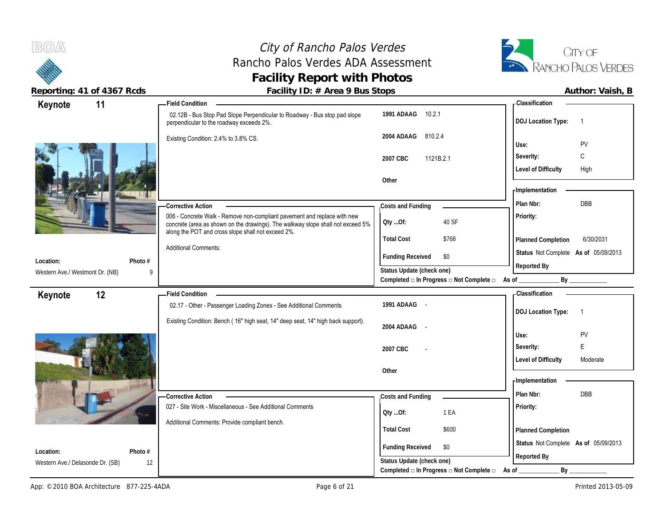## City of Rancho Palos Verdes Rancho Palos Verdes ADA Assessment **Facility Report with Photos**



| 11<br>Keynote                                            | <b>Field Condition</b>                                                                                                                |                                          | <b>Classification</b>                               |
|----------------------------------------------------------|---------------------------------------------------------------------------------------------------------------------------------------|------------------------------------------|-----------------------------------------------------|
|                                                          | 02.12B - Bus Stop Pad Slope Perpendicular to Roadway - Bus stop pad slope<br>perpendicular to the roadway exceeds 2%.                 | 1991 ADAAG 10.2.1                        | <b>DOJ</b> Location Type:<br>$\overline{1}$         |
|                                                          | Existing Condition: 2.4% to 3.8% CS.                                                                                                  | 2004 ADAAG<br>810.2.4                    | PV<br>Use:                                          |
|                                                          |                                                                                                                                       |                                          | С<br>Severity:                                      |
|                                                          |                                                                                                                                       | 2007 CBC<br>1121B.2.1                    | <b>Level of Difficulty</b><br>High                  |
|                                                          |                                                                                                                                       | Other                                    |                                                     |
|                                                          |                                                                                                                                       |                                          | - Implementation                                    |
|                                                          | <b>Corrective Action</b>                                                                                                              | Costs and Funding                        | DBB<br>Plan Nbr:                                    |
|                                                          | 006 - Concrete Walk - Remove non-compliant pavement and replace with new                                                              |                                          | Priority:                                           |
|                                                          | concrete (area as shown on the drawings). The walkway slope shall not exceed 5%<br>along the POT and cross slope shall not exceed 2%. | 40 SF<br>Qty Of:                         |                                                     |
|                                                          |                                                                                                                                       | <b>Total Cost</b><br>\$768               | Planned Completion<br>6/30/2031                     |
|                                                          | <b>Additional Comments:</b>                                                                                                           | <b>Funding Received</b><br>\$0           | Status Not Complete As of 05/09/2013                |
| Photo #<br>Location:<br>Western Ave./ Westmont Dr. (NB)  | 9                                                                                                                                     | Status Update (check one)                | Reported By                                         |
|                                                          |                                                                                                                                       | Completed □ In Progress □ Not Complete □ | As of<br>By                                         |
| 12<br>Keynote                                            | <b>Field Condition</b>                                                                                                                |                                          | <b>Classification</b>                               |
|                                                          | 02.17 - Other - Passenger Loading Zones - See Additional Comments                                                                     | 1991 ADAAG -                             |                                                     |
|                                                          |                                                                                                                                       |                                          |                                                     |
|                                                          | Existing Condition: Bench (16" high seat, 14" deep seat, 14" high back support).                                                      |                                          | <b>DOJ</b> Location Type:<br>-1                     |
|                                                          |                                                                                                                                       | 2004 ADAAG<br>$\sim$                     | Use:                                                |
|                                                          |                                                                                                                                       |                                          | PV<br>E                                             |
|                                                          |                                                                                                                                       | 2007 CBC                                 | Severity:<br><b>Level of Difficulty</b><br>Moderate |
|                                                          |                                                                                                                                       | Other                                    |                                                     |
|                                                          |                                                                                                                                       |                                          | - Implementation                                    |
|                                                          | -Corrective Action                                                                                                                    | Costs and Funding                        | <b>DBB</b><br>Plan Nbr:                             |
|                                                          | 027 - Site Work - Miscellaneous - See Additional Comments                                                                             |                                          | Priority:                                           |
|                                                          | Additional Comments: Provide compliant bench.                                                                                         | 1 EA<br>Oty Of:                          |                                                     |
|                                                          |                                                                                                                                       | <b>Total Cost</b><br>\$600               | Planned Completion                                  |
|                                                          |                                                                                                                                       | <b>Funding Received</b><br>\$0           | Status Not Complete As of 05/09/2013                |
| Photo #<br>Location:<br>Western Ave./ Delasonde Dr. (SB) | 12                                                                                                                                    | Status Update (check one)                | Reported By                                         |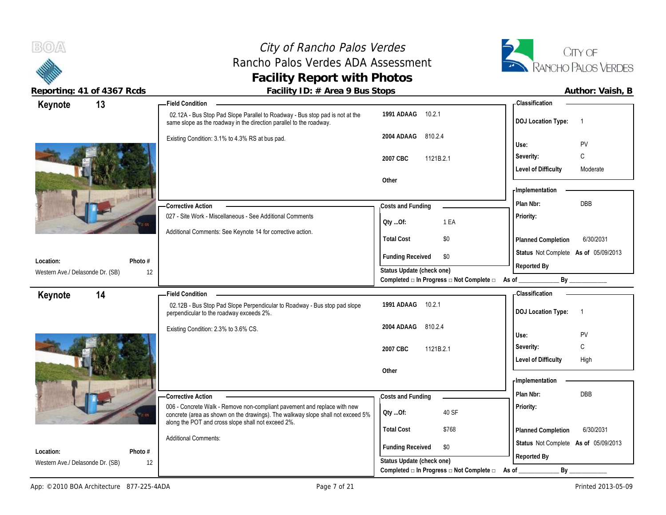## City of Rancho Palos Verdes<br>
ho Palos Verdes ADA Assessment<br>
TA RANCHO PALOS VERDES Rancho Palos Verdes ADA Assessment **Facility Report with Photos**



| Keynote                                       | 13              | <b>Field Condition</b>                                                                                                                              |                                                             | - Classification                            |
|-----------------------------------------------|-----------------|-----------------------------------------------------------------------------------------------------------------------------------------------------|-------------------------------------------------------------|---------------------------------------------|
|                                               |                 | 02.12A - Bus Stop Pad Slope Parallel to Roadway - Bus stop pad is not at the<br>same slope as the roadway in the direction parallel to the roadway. | 1991 ADAAG<br>10.2.1                                        | <b>DOJ Location Type:</b><br>$\overline{1}$ |
|                                               |                 | Existing Condition: 3.1% to 4.3% RS at bus pad.                                                                                                     | 2004 ADAAG<br>810.2.4                                       | PV<br>Use:                                  |
|                                               |                 |                                                                                                                                                     |                                                             | С<br>Severity:                              |
|                                               |                 |                                                                                                                                                     | 2007 CBC<br>1121B.2.1                                       | <b>Level of Difficulty</b><br>Moderate      |
|                                               |                 |                                                                                                                                                     | Other                                                       |                                             |
|                                               |                 |                                                                                                                                                     |                                                             | - Implementation                            |
|                                               |                 | -Corrective Action                                                                                                                                  | Costs and Funding                                           | DBB<br>Plan Nbr:                            |
|                                               |                 | 027 - Site Work - Miscellaneous - See Additional Comments                                                                                           |                                                             | Priority:                                   |
|                                               |                 | Additional Comments: See Keynote 14 for corrective action.                                                                                          | 1 EA<br>QtyOf:                                              |                                             |
|                                               |                 |                                                                                                                                                     | <b>Total Cost</b><br>\$0                                    | 6/30/2031<br>Planned Completion             |
|                                               |                 |                                                                                                                                                     | <b>Funding Received</b><br>\$0                              | Status Not Complete As of 05/09/2013        |
| Location:                                     | Photo #         |                                                                                                                                                     | Status Update (check one)                                   | Reported By                                 |
| Western Ave./ Delasonde Dr. (SB)              | 12              |                                                                                                                                                     | Completed □ In Progress □ Not Complete □ As of              | By                                          |
| Keynote                                       | 14              | <b>Field Condition</b>                                                                                                                              |                                                             | - Classification                            |
|                                               |                 | 02.12B - Bus Stop Pad Slope Perpendicular to Roadway - Bus stop pad slope<br>perpendicular to the roadway exceeds 2%.                               | 1991 ADAAG<br>10.2.1                                        | <b>DOJ Location Type:</b><br>$\overline{1}$ |
|                                               |                 |                                                                                                                                                     | 2004 ADAAG<br>810.2.4                                       |                                             |
|                                               |                 | Existing Condition: 2.3% to 3.6% CS.                                                                                                                |                                                             |                                             |
|                                               |                 |                                                                                                                                                     |                                                             | Use:<br>PV                                  |
|                                               |                 |                                                                                                                                                     | 2007 CBC<br>1121B.2.1                                       | C<br>Severity:                              |
|                                               |                 |                                                                                                                                                     |                                                             | <b>Level of Difficulty</b><br>High          |
|                                               |                 |                                                                                                                                                     | Other                                                       | - Implementation                            |
|                                               |                 |                                                                                                                                                     |                                                             | Plan Nbr:<br>DBB                            |
|                                               |                 | - Corrective Action<br>006 - Concrete Walk - Remove non-compliant pavement and replace with new                                                     | Costs and Funding                                           |                                             |
|                                               |                 | concrete (area as shown on the drawings). The walkway slope shall not exceed 5%                                                                     | 40 SF<br>Qty Of:                                            | Priority:                                   |
|                                               |                 | along the POT and cross slope shall not exceed 2%.                                                                                                  | <b>Total Cost</b><br>\$768                                  | 6/30/2031<br>Planned Completion             |
|                                               |                 | <b>Additional Comments:</b>                                                                                                                         |                                                             | Status Not Complete As of 05/09/2013        |
| Location:<br>Western Ave./ Delasonde Dr. (SB) | Photo $#$<br>12 |                                                                                                                                                     | <b>Funding Received</b><br>\$0<br>Status Update (check one) | Reported By                                 |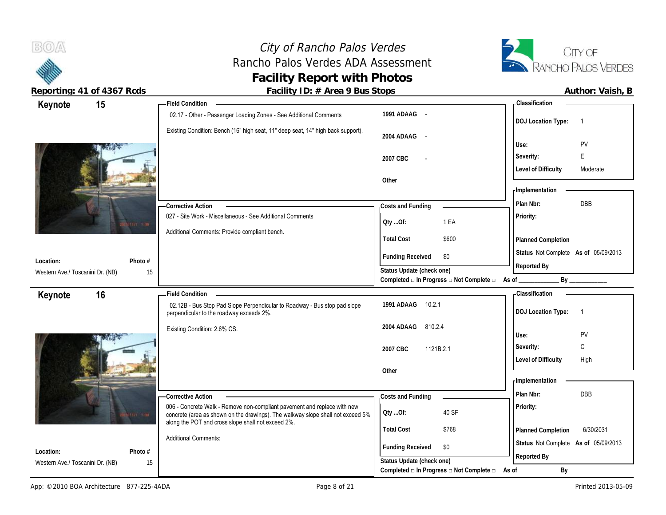# City of Rancho Palos Verdes<br>
ho Palos Verdes ADA Assessment<br>
RANCHO PALOS VERDES Rancho Palos Verdes ADA Assessment **Facility Report with Photos**



 $B(0)$ 

**Reporting: 41 of 4367 Rcds Facility ID: # Area 9 Bus Stops** 

| Author: Vaish, B |
|------------------|
|------------------|

| 15<br>Keynote                                 |               | - Field Condition                                                                                                                                           |                                                                 | - Classification                                |
|-----------------------------------------------|---------------|-------------------------------------------------------------------------------------------------------------------------------------------------------------|-----------------------------------------------------------------|-------------------------------------------------|
|                                               |               | 02.17 - Other - Passenger Loading Zones - See Additional Comments                                                                                           | 1991 ADAAG -                                                    | <b>DOJ Location Type:</b><br>$\overline{1}$     |
|                                               |               | Existing Condition: Bench (16" high seat, 11" deep seat, 14" high back support).                                                                            | 2004 ADAAG -                                                    | <b>PV</b><br>Use:                               |
|                                               |               |                                                                                                                                                             | 2007 CBC                                                        | E<br>Severity:                                  |
|                                               |               |                                                                                                                                                             |                                                                 | <b>Level of Difficulty</b><br>Moderate          |
|                                               |               |                                                                                                                                                             | Other                                                           |                                                 |
|                                               |               |                                                                                                                                                             |                                                                 | - Implementation                                |
|                                               |               | - Corrective Action                                                                                                                                         | Costs and Funding                                               | Plan Nbr:<br>DBB                                |
|                                               |               | 027 - Site Work - Miscellaneous - See Additional Comments                                                                                                   | 1 EA<br>QtyOf:                                                  | Priority:                                       |
|                                               |               | Additional Comments: Provide compliant bench.                                                                                                               | <b>Total Cost</b><br>\$600                                      | Planned Completion                              |
|                                               |               |                                                                                                                                                             | <b>Funding Received</b><br>\$0                                  | Status Not Complete As of 05/09/2013            |
| Location:                                     | Photo #       |                                                                                                                                                             | Status Update (check one)                                       | Reported By                                     |
| Western Ave./ Toscanini Dr. (NB)              | 15            |                                                                                                                                                             | Completed $\Box$ In Progress $\Box$ Not Complete $\Box$ As of _ | By                                              |
|                                               |               |                                                                                                                                                             |                                                                 |                                                 |
| 16                                            |               | <b>Field Condition</b>                                                                                                                                      |                                                                 | - Classification                                |
| Keynote                                       |               | 02.12B - Bus Stop Pad Slope Perpendicular to Roadway - Bus stop pad slope<br>perpendicular to the roadway exceeds 2%.                                       | 10.2.1<br>1991 ADAAG                                            | <b>DOJ Location Type:</b><br>$\overline{1}$     |
|                                               |               | Existing Condition: 2.6% CS.                                                                                                                                | 2004 ADAAG<br>810.2.4                                           |                                                 |
|                                               |               |                                                                                                                                                             |                                                                 | Use:<br>PV<br>C                                 |
|                                               |               |                                                                                                                                                             | 2007 CBC<br>1121B.2.1                                           | Severity:<br><b>Level of Difficulty</b><br>High |
|                                               |               |                                                                                                                                                             | Other                                                           |                                                 |
|                                               |               |                                                                                                                                                             |                                                                 | - Implementation                                |
|                                               |               | -Corrective Action                                                                                                                                          | Costs and Funding                                               | <b>DBB</b><br>Plan Nbr:                         |
|                                               | 171 中         | 006 - Concrete Walk - Remove non-compliant pavement and replace with new<br>concrete (area as shown on the drawings). The walkway slope shall not exceed 5% | 40 SF<br>Oty Of:                                                | Priority:                                       |
|                                               |               | along the POT and cross slope shall not exceed 2%.                                                                                                          | <b>Total Cost</b><br>\$768                                      | 6/30/2031<br>Planned Completion                 |
|                                               |               | <b>Additional Comments:</b>                                                                                                                                 | \$0                                                             | Status Not Complete As of 05/09/2013            |
| Location:<br>Western Ave./ Toscanini Dr. (NB) | Photo #<br>15 |                                                                                                                                                             | <b>Funding Received</b><br>Status Update (check one)            | Reported By                                     |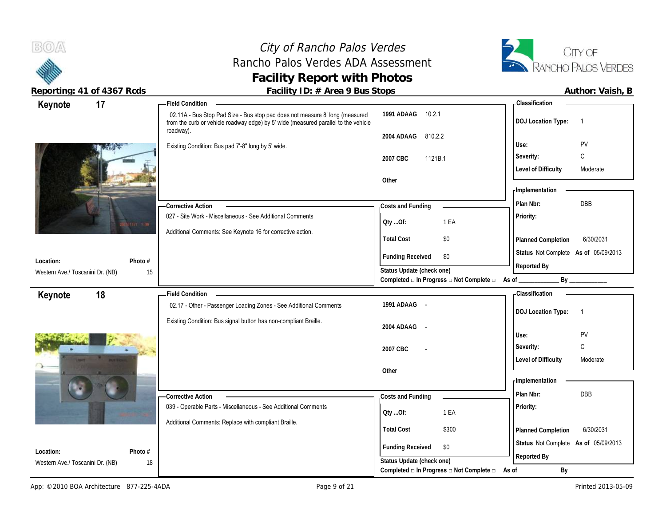## City of Rancho Palos Verdes Rancho Palos Verdes ADA Assessment **Facility Report with Photos**



| $1000 \cdot 11191 + 0110001 + 0000$                      | $\frac{1}{2}$ about $\frac{1}{2}$ is the state of $\frac{1}{2}$ in the set of $\frac{1}{2}$<br><b>Field Condition</b>                                                            |                                          | - Classification                                    |
|----------------------------------------------------------|----------------------------------------------------------------------------------------------------------------------------------------------------------------------------------|------------------------------------------|-----------------------------------------------------|
| 17<br>Keynote                                            |                                                                                                                                                                                  |                                          |                                                     |
|                                                          | 02.11A - Bus Stop Pad Size - Bus stop pad does not measure 8' long (measured<br>from the curb or vehicle roadway edge) by 5' wide (measured parallel to the vehicle<br>roadway). | 1991 ADAAG 10.2.1                        | <b>DOJ Location Type:</b><br>$\overline{1}$         |
|                                                          |                                                                                                                                                                                  | 2004 ADAAG<br>810.2.2                    |                                                     |
|                                                          | Existing Condition: Bus pad 7'-8" long by 5' wide.                                                                                                                               |                                          | PV<br>Use:                                          |
|                                                          |                                                                                                                                                                                  | 2007 CBC<br>1121B.1                      | C<br>Severity:                                      |
|                                                          |                                                                                                                                                                                  |                                          | <b>Level of Difficulty</b><br>Moderate              |
|                                                          |                                                                                                                                                                                  | Other                                    |                                                     |
|                                                          |                                                                                                                                                                                  |                                          | - Implementation                                    |
|                                                          | - Corrective Action                                                                                                                                                              | Costs and Funding                        | DBB<br>Plan Nbr:                                    |
| 17 中                                                     | 027 - Site Work - Miscellaneous - See Additional Comments                                                                                                                        | 1 EA<br>Oty Of:                          | Priority:                                           |
|                                                          | Additional Comments: See Keynote 16 for corrective action.                                                                                                                       | <b>Total Cost</b><br>\$0                 | 6/30/2031<br>Planned Completion                     |
| Location:<br>Photo #                                     |                                                                                                                                                                                  | <b>Funding Received</b><br>\$0           | Status Not Complete As of 05/09/2013<br>Reported By |
| Western Ave./ Toscanini Dr. (NB)                         | 15                                                                                                                                                                               | Status Update (check one)                |                                                     |
|                                                          |                                                                                                                                                                                  | Completed □ In Progress □ Not Complete □ | By<br>As of _                                       |
| 18<br>Keynote                                            | <b>Field Condition</b>                                                                                                                                                           |                                          | <b>Classification</b>                               |
|                                                          | 02.17 - Other - Passenger Loading Zones - See Additional Comments                                                                                                                | 1991 ADAAG -                             | <b>DOJ Location Type:</b><br>- 1                    |
|                                                          | Existing Condition: Bus signal button has non-compliant Braille.                                                                                                                 |                                          |                                                     |
|                                                          |                                                                                                                                                                                  | 2004 ADAAG                               | PV<br>Use:                                          |
|                                                          |                                                                                                                                                                                  |                                          |                                                     |
|                                                          |                                                                                                                                                                                  | 2007 CBC                                 | $\mathsf C$<br>Severity:                            |
|                                                          |                                                                                                                                                                                  |                                          | <b>Level of Difficulty</b><br>Moderate              |
|                                                          |                                                                                                                                                                                  | Other                                    | - Implementation                                    |
|                                                          |                                                                                                                                                                                  |                                          |                                                     |
|                                                          | <b>Corrective Action</b>                                                                                                                                                         | Costs and Funding                        | Plan Nbr:<br>DBB                                    |
|                                                          |                                                                                                                                                                                  |                                          | Priority:                                           |
|                                                          | 039 - Operable Parts - Miscellaneous - See Additional Comments                                                                                                                   | 1 EA                                     |                                                     |
|                                                          | Additional Comments: Replace with compliant Braille.                                                                                                                             | Oty Of:                                  |                                                     |
|                                                          |                                                                                                                                                                                  | <b>Total Cost</b><br>\$300               | 6/30/2031<br>Planned Completion                     |
|                                                          |                                                                                                                                                                                  | <b>Funding Received</b><br>\$0           | Status Not Complete As of 05/09/2013                |
| Location:<br>Photo #<br>Western Ave./ Toscanini Dr. (NB) | 18                                                                                                                                                                               | Status Update (check one)                | Reported By                                         |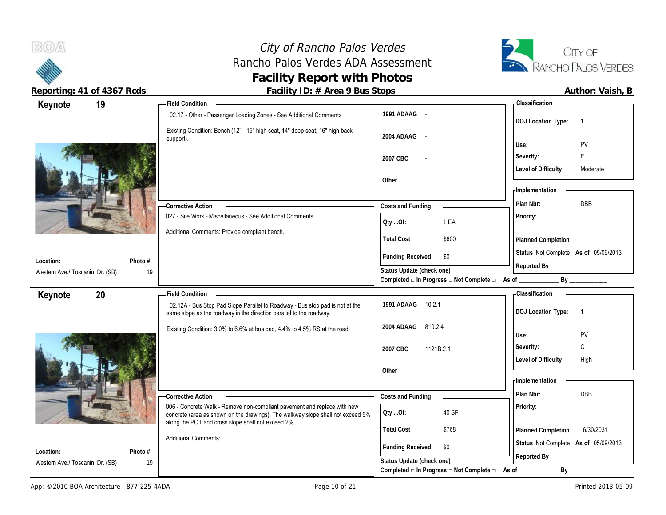City of Rancho Palos Verdes<br>
ho Palos Verdes ADA Assessment<br>
TA RANCHO PALOS VERDES Rancho Palos Verdes ADA Assessment **Facility Report with Photos**



 $B(0)$ 

**Reporting: 41 of 4367 Rcds Facility ID: # Area 9 Bus Stops Author: Vaish, B**

| Author: Vaish, I |  |
|------------------|--|
|                  |  |

| Keynote                                       | 19      | Field Condition _____                                                                                                                                       |                                                                       | - Classification                            |
|-----------------------------------------------|---------|-------------------------------------------------------------------------------------------------------------------------------------------------------------|-----------------------------------------------------------------------|---------------------------------------------|
|                                               |         | 02.17 - Other - Passenger Loading Zones - See Additional Comments                                                                                           | 1991 ADAAG -                                                          | <b>DOJ Location Type:</b><br>$\overline{1}$ |
|                                               |         | Existing Condition: Bench (12" - 15" high seat, 14" deep seat, 16" high back<br>support).                                                                   | 2004 ADAAG -                                                          |                                             |
|                                               |         |                                                                                                                                                             |                                                                       | <b>PV</b><br>Use:                           |
|                                               |         |                                                                                                                                                             | 2007 CBC                                                              | E<br>Severity:                              |
|                                               |         |                                                                                                                                                             | Other                                                                 | <b>Level of Difficulty</b><br>Moderate      |
|                                               |         |                                                                                                                                                             |                                                                       | - Implementation                            |
|                                               |         |                                                                                                                                                             |                                                                       | <b>DBB</b><br>Plan Nbr:                     |
|                                               |         | <b>Corrective Action</b><br>027 - Site Work - Miscellaneous - See Additional Comments                                                                       | Costs and Funding                                                     | Priority:                                   |
|                                               |         |                                                                                                                                                             | QtyOf:<br>1 EA                                                        |                                             |
|                                               |         | Additional Comments: Provide compliant bench.                                                                                                               | <b>Total Cost</b><br>\$600                                            | Planned Completion                          |
|                                               |         |                                                                                                                                                             | \$0                                                                   | Status Not Complete As of 05/09/2013        |
| Location:                                     | Photo # |                                                                                                                                                             | <b>Funding Received</b>                                               | Reported By                                 |
| Western Ave./ Toscanini Dr. (SB)              | 19      |                                                                                                                                                             | Status Update (check one)<br>Completed □ In Progress □ Not Complete □ | By<br>$\overline{\mathsf{As} \mathsf{ of }$ |
| Keynote                                       | 20      | <b>Field Condition</b>                                                                                                                                      |                                                                       | Classification                              |
|                                               |         | 02.12A - Bus Stop Pad Slope Parallel to Roadway - Bus stop pad is not at the<br>same slope as the roadway in the direction parallel to the roadway.         | 1991 ADAAG 10.2.1                                                     | <b>DOJ Location Type:</b><br>$\overline{1}$ |
|                                               |         |                                                                                                                                                             | 2004 ADAAG 810.2.4                                                    |                                             |
|                                               |         | Existing Condition: 3.0% to 6.6% at bus pad, 4.4% to 4.5% RS at the road.                                                                                   |                                                                       | Use:<br><b>PV</b>                           |
|                                               |         |                                                                                                                                                             | 2007 CBC<br>1121B.2.1                                                 | C<br>Severity:                              |
|                                               |         |                                                                                                                                                             |                                                                       | <b>Level of Difficulty</b><br>High          |
|                                               |         |                                                                                                                                                             |                                                                       |                                             |
|                                               |         |                                                                                                                                                             | Other                                                                 |                                             |
|                                               |         |                                                                                                                                                             |                                                                       | <b>Implementation</b>                       |
|                                               |         | -Corrective Action                                                                                                                                          | Costs and Funding                                                     | Plan Nbr:<br>DBB                            |
|                                               |         | 006 - Concrete Walk - Remove non-compliant pavement and replace with new<br>concrete (area as shown on the drawings). The walkway slope shall not exceed 5% | 40 SF<br>QtyOf:                                                       | Priority:                                   |
|                                               |         | along the POT and cross slope shall not exceed 2%.                                                                                                          | <b>Total Cost</b><br>\$768                                            | 6/30/2031<br>Planned Completion             |
|                                               |         | <b>Additional Comments:</b>                                                                                                                                 |                                                                       | Status Not Complete As of 05/09/2013        |
| Location:<br>Western Ave./ Toscanini Dr. (SB) | Photo # |                                                                                                                                                             | <b>Funding Received</b><br>\$0<br>Status Update (check one)           | Reported By                                 |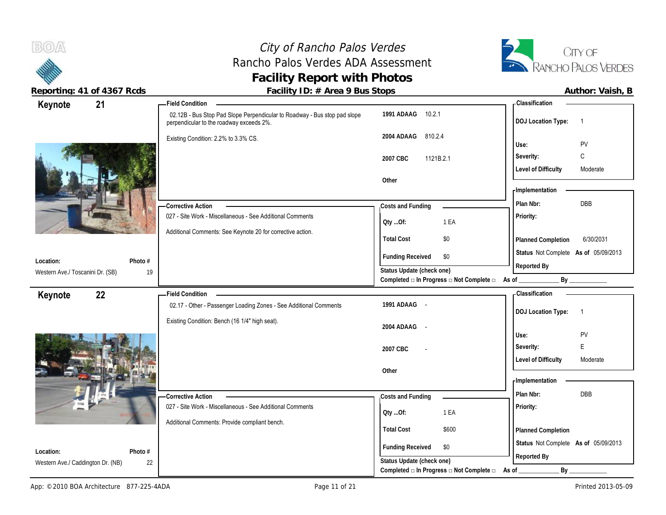# City of Rancho Palos Verdes<br>
ho Palos Verdes ADA Assessment<br>
TA RANCHO PALOS VERDES Rancho Palos Verdes ADA Assessment **Facility Report with Photos**



| Keynote                                        | 21            |                                                                                                                       |                                                                           | - Classification                            |
|------------------------------------------------|---------------|-----------------------------------------------------------------------------------------------------------------------|---------------------------------------------------------------------------|---------------------------------------------|
|                                                |               | 02.12B - Bus Stop Pad Slope Perpendicular to Roadway - Bus stop pad slope<br>perpendicular to the roadway exceeds 2%. | 1991 ADAAG 10.2.1                                                         | <b>DOJ Location Type:</b><br>$\overline{1}$ |
|                                                |               | Existing Condition: 2.2% to 3.3% CS.                                                                                  | 2004 ADAAG<br>810.2.4                                                     | PV<br>Use:                                  |
|                                                |               |                                                                                                                       |                                                                           | C<br>Severity:                              |
|                                                |               |                                                                                                                       | 2007 CBC<br>1121B.2.1                                                     |                                             |
|                                                |               |                                                                                                                       |                                                                           | <b>Level of Difficulty</b><br>Moderate      |
|                                                |               |                                                                                                                       | Other                                                                     | - Implementation                            |
|                                                |               |                                                                                                                       |                                                                           | DBB<br>Plan Nbr:                            |
|                                                |               | <b>Corrective Action</b><br>027 - Site Work - Miscellaneous - See Additional Comments                                 | Costs and Funding                                                         |                                             |
|                                                |               |                                                                                                                       | 1 EA<br>Oty Of:                                                           | Priority:                                   |
|                                                |               | Additional Comments: See Keynote 20 for corrective action.                                                            | <b>Total Cost</b><br>\$0                                                  | 6/30/2031<br>Planned Completion             |
|                                                |               |                                                                                                                       |                                                                           |                                             |
| Location:                                      | Photo #       |                                                                                                                       | <b>Funding Received</b><br>\$0                                            | Status Not Complete As of 05/09/2013        |
| Western Ave./ Toscanini Dr. (SB)               | 19            |                                                                                                                       | Status Update (check one)                                                 | Reported By                                 |
|                                                |               |                                                                                                                       | Completed $\square$ In Progress $\square$ Not Complete $\square$ As of __ |                                             |
|                                                |               |                                                                                                                       |                                                                           |                                             |
| Keynote                                        | 22            | Field Condition -                                                                                                     |                                                                           | <b>Classification</b>                       |
|                                                |               | 02.17 - Other - Passenger Loading Zones - See Additional Comments                                                     | 1991 ADAAG -                                                              |                                             |
|                                                |               | Existing Condition: Bench (16 1/4" high seat).                                                                        |                                                                           | <b>DOJ Location Type:</b><br>$\overline{1}$ |
|                                                |               |                                                                                                                       | 2004 ADAAG -                                                              | PV<br>Use:                                  |
|                                                |               |                                                                                                                       |                                                                           | E                                           |
|                                                |               |                                                                                                                       | 2007 CBC                                                                  | Severity:                                   |
|                                                |               |                                                                                                                       |                                                                           | <b>Level of Difficulty</b><br>Moderate      |
|                                                |               |                                                                                                                       | Other                                                                     | - Implementation                            |
|                                                |               |                                                                                                                       |                                                                           | Plan Nbr:<br><b>DBB</b>                     |
|                                                |               | - Corrective Action<br>027 - Site Work - Miscellaneous - See Additional Comments                                      | Costs and Funding                                                         | Priority:                                   |
|                                                |               |                                                                                                                       | 1 EA<br>Qty Of:                                                           |                                             |
|                                                |               | Additional Comments: Provide compliant bench.                                                                         | <b>Total Cost</b><br>\$600                                                | Planned Completion                          |
|                                                |               |                                                                                                                       |                                                                           | Status Not Complete As of 05/09/2013        |
| Location:<br>Western Ave./ Caddington Dr. (NB) | Photo #<br>22 |                                                                                                                       | <b>Funding Received</b><br>\$0<br>Status Update (check one)               | Reported By                                 |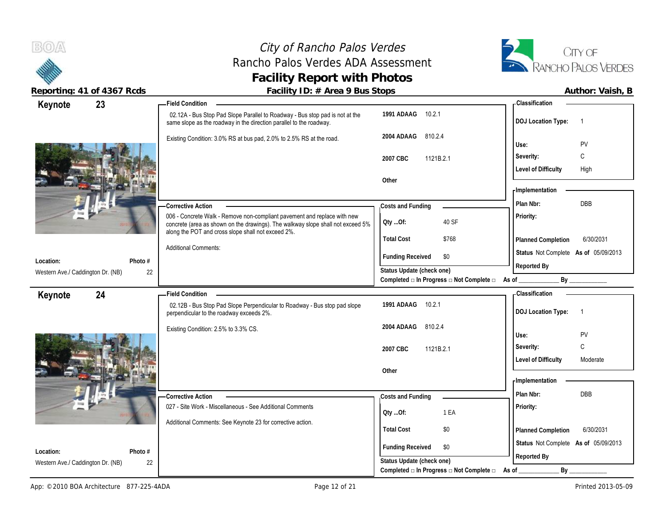## City of Rancho Palos Verdes Rancho Palos Verdes ADA Assessment **Facility Report with Photos**



**Reporting: 41 of 4367 Rcds Facility ID: # Area 9 Bus Stops Author: Vaish, B**

| 23<br>Keynote                           | - Field Condition                                                                                                                                                                                                 |                                                         | <b>Classification</b>                       |
|-----------------------------------------|-------------------------------------------------------------------------------------------------------------------------------------------------------------------------------------------------------------------|---------------------------------------------------------|---------------------------------------------|
|                                         | 02.12A - Bus Stop Pad Slope Parallel to Roadway - Bus stop pad is not at the<br>same slope as the roadway in the direction parallel to the roadway.                                                               | 1991 ADAAG<br>10.2.1                                    | <b>DOJ Location Type:</b><br>$\overline{1}$ |
|                                         | Existing Condition: 3.0% RS at bus pad, 2.0% to 2.5% RS at the road.                                                                                                                                              | 2004 ADAAG 810.2.4                                      | PV<br>Use:                                  |
|                                         |                                                                                                                                                                                                                   | 2007 CBC<br>1121B.2.1                                   | C<br>Severity:                              |
|                                         |                                                                                                                                                                                                                   |                                                         | <b>Level of Difficulty</b><br>High          |
|                                         |                                                                                                                                                                                                                   | Other                                                   | <b>Implementation</b>                       |
|                                         | - Corrective Action                                                                                                                                                                                               | Costs and Funding                                       | DBB<br>Plan Nbr:                            |
|                                         | 006 - Concrete Walk - Remove non-compliant pavement and replace with new<br>concrete (area as shown on the drawings). The walkway slope shall not exceed 5%<br>along the POT and cross slope shall not exceed 2%. | Oty Of:<br>40 SF                                        | Priority:                                   |
|                                         |                                                                                                                                                                                                                   | <b>Total Cost</b><br>\$768                              | 6/30/2031<br>Planned Completion             |
| Location:<br>Photo #                    | <b>Additional Comments:</b>                                                                                                                                                                                       | <b>Funding Received</b><br>\$0                          | Status Not Complete As of 05/09/2013        |
| Western Ave./ Caddington Dr. (NB)<br>22 |                                                                                                                                                                                                                   | Status Update (check one)                               | Reported By                                 |
|                                         |                                                                                                                                                                                                                   | Completed □ In Progress □ Not Complete □ As of ________ |                                             |
| 24<br>Keynote                           | - Field Condition                                                                                                                                                                                                 |                                                         | <b>Classification</b>                       |
|                                         | 02.12B - Bus Stop Pad Slope Perpendicular to Roadway - Bus stop pad slope<br>perpendicular to the roadway exceeds 2%.                                                                                             | 1991 ADAAG<br>10.2.1                                    | <b>DOJ Location Type:</b><br>$\overline{1}$ |
|                                         | Existing Condition: 2.5% to 3.3% CS.                                                                                                                                                                              | 2004 ADAAG 810.2.4                                      | Use:<br>PV                                  |
|                                         |                                                                                                                                                                                                                   | 2007 CBC<br>1121B.2.1                                   | C<br>Severity:                              |
|                                         |                                                                                                                                                                                                                   |                                                         | <b>Level of Difficulty</b><br>Moderate      |
|                                         |                                                                                                                                                                                                                   | Other                                                   | <b>Implementation</b>                       |
|                                         | - Corrective Action                                                                                                                                                                                               | Costs and Funding                                       | Plan Nbr:<br>DBB                            |
|                                         | 027 - Site Work - Miscellaneous - See Additional Comments                                                                                                                                                         |                                                         | Priority:                                   |
|                                         | Additional Comments: See Keynote 23 for corrective action.                                                                                                                                                        | QtyOf:<br>1 EA                                          |                                             |
|                                         |                                                                                                                                                                                                                   | <b>Total Cost</b><br>\$0                                | 6/30/2031<br>Planned Completion             |
| Location:<br>Photo #                    |                                                                                                                                                                                                                   | <b>Funding Received</b><br>\$0                          | Status Not Complete As of 05/09/2013        |
| 22<br>Western Ave./ Caddington Dr. (NB) |                                                                                                                                                                                                                   | Status Update (check one)                               | Reported By                                 |
|                                         |                                                                                                                                                                                                                   |                                                         |                                             |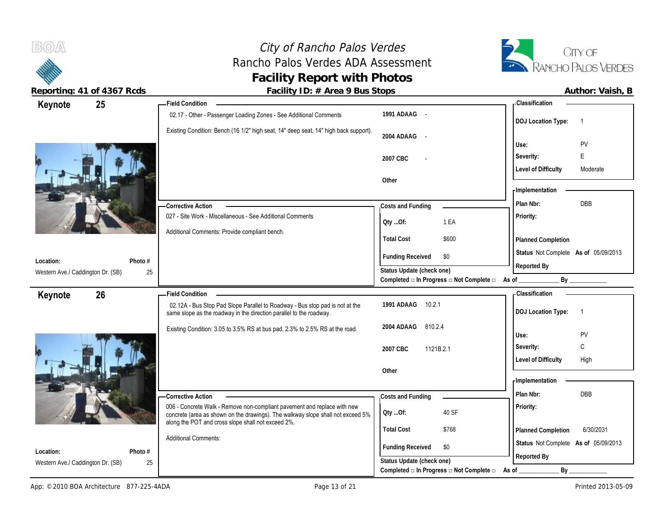# City of Rancho Palos Verdes<br>
ho Palos Verdes ADA Assessment<br>
RANCHO PALOS VERDES Rancho Palos Verdes ADA Assessment **Facility Report with Photos**



 $B(0)$ 

**Reporting: 41 of 4367 Rcds Facility ID: # Area 9 Bus Stops** 

| Author: Vaish, B |  |
|------------------|--|
|                  |  |

| Keynote                                        | 25              | <b>Field Condition</b>                                                                                                                                      |                                                             | <b>Classification</b>                                                                                                                                                                                                          |
|------------------------------------------------|-----------------|-------------------------------------------------------------------------------------------------------------------------------------------------------------|-------------------------------------------------------------|--------------------------------------------------------------------------------------------------------------------------------------------------------------------------------------------------------------------------------|
|                                                |                 | 02.17 - Other - Passenger Loading Zones - See Additional Comments                                                                                           | 1991 ADAAG -                                                | <b>DOJ Location Type:</b><br>$\overline{1}$                                                                                                                                                                                    |
|                                                |                 | Existing Condition: Bench (16 1/2" high seat, 14" deep seat, 14" high back support).                                                                        | 2004 ADAAG -                                                | PV<br>Use:                                                                                                                                                                                                                     |
|                                                |                 |                                                                                                                                                             | 2007 CBC                                                    | E<br>Severity:                                                                                                                                                                                                                 |
|                                                |                 |                                                                                                                                                             |                                                             | <b>Level of Difficulty</b><br>Moderate                                                                                                                                                                                         |
|                                                |                 |                                                                                                                                                             | Other                                                       |                                                                                                                                                                                                                                |
|                                                |                 |                                                                                                                                                             |                                                             | - Implementation                                                                                                                                                                                                               |
|                                                |                 | <b>Corrective Action</b>                                                                                                                                    | Costs and Funding                                           | <b>DBB</b><br>Plan Nbr:                                                                                                                                                                                                        |
|                                                |                 | 027 - Site Work - Miscellaneous - See Additional Comments                                                                                                   | 1 EA<br>Oty Of:                                             | Priority:                                                                                                                                                                                                                      |
|                                                |                 | Additional Comments: Provide compliant bench.                                                                                                               | <b>Total Cost</b><br>\$600                                  | <b>Planned Completion</b>                                                                                                                                                                                                      |
|                                                |                 |                                                                                                                                                             | <b>Funding Received</b><br>\$0                              | Status Not Complete As of 05/09/2013                                                                                                                                                                                           |
| Location:                                      | Photo #         |                                                                                                                                                             | Status Update (check one)                                   | Reported By                                                                                                                                                                                                                    |
| Western Ave./ Caddington Dr. (SB)              | 25              |                                                                                                                                                             | Completed □ In Progress □ Not Complete □ As of              | By the contract of the contract of the contract of the contract of the contract of the contract of the contract of the contract of the contract of the contract of the contract of the contract of the contract of the contrac |
|                                                |                 |                                                                                                                                                             |                                                             |                                                                                                                                                                                                                                |
| 26                                             |                 | <b>Field Condition</b>                                                                                                                                      |                                                             | - Classification                                                                                                                                                                                                               |
| Keynote                                        |                 | 02.12A - Bus Stop Pad Slope Parallel to Roadway - Bus stop pad is not at the<br>same slope as the roadway in the direction parallel to the roadway.         | 1991 ADAAG<br>10.2.1                                        | <b>DOJ Location Type:</b><br>$\overline{1}$                                                                                                                                                                                    |
|                                                |                 | Existing Condition: 3.05 to 3.5% RS at bus pad, 2.3% to 2.5% RS at the road.                                                                                | 2004 ADAAG<br>810.2.4                                       | Use:<br>PV                                                                                                                                                                                                                     |
|                                                |                 |                                                                                                                                                             | 2007 CBC<br>1121B.2.1                                       | C<br>Severity:                                                                                                                                                                                                                 |
|                                                |                 |                                                                                                                                                             |                                                             | <b>Level of Difficulty</b><br>High                                                                                                                                                                                             |
|                                                |                 |                                                                                                                                                             | Other                                                       |                                                                                                                                                                                                                                |
|                                                |                 |                                                                                                                                                             |                                                             | - Implementation                                                                                                                                                                                                               |
|                                                |                 | - Corrective Action                                                                                                                                         | Costs and Funding                                           | <b>DBB</b><br>Plan Nbr:                                                                                                                                                                                                        |
|                                                |                 | 006 - Concrete Walk - Remove non-compliant pavement and replace with new<br>concrete (area as shown on the drawings). The walkway slope shall not exceed 5% | 40 SF<br>Oty Of:                                            | Priority:                                                                                                                                                                                                                      |
|                                                |                 | along the POT and cross slope shall not exceed 2%.                                                                                                          | <b>Total Cost</b><br>\$768                                  | 6/30/2031                                                                                                                                                                                                                      |
|                                                |                 | <b>Additional Comments:</b>                                                                                                                                 |                                                             | Planned Completion<br>Status Not Complete As of 05/09/2013                                                                                                                                                                     |
| Location:<br>Western Ave./ Caddington Dr. (SB) | Photo $#$<br>25 |                                                                                                                                                             | <b>Funding Received</b><br>\$0<br>Status Update (check one) | Reported By                                                                                                                                                                                                                    |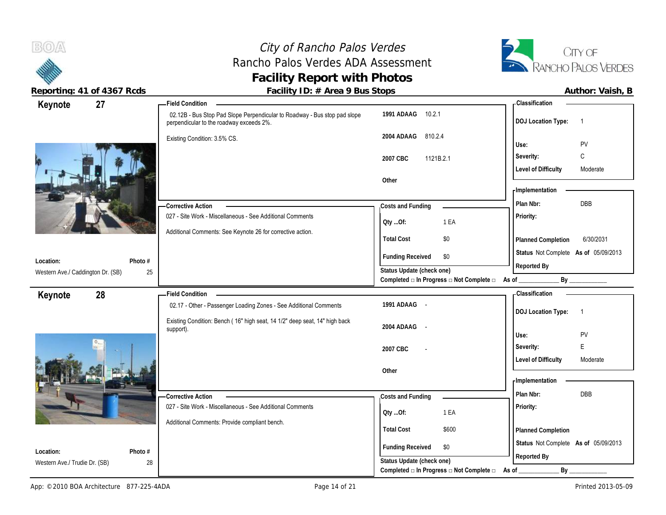## City of Rancho Palos Verdes Rancho Palos Verdes ADA Assessment **Facility Report with Photos**



**Reporting: 41 of 4367 Rcds Facility ID: # Area 9 Bus Stops Author: Vaish, B**

| Keynote                                    | 27            | <b>Field Condition</b>                                                                                                |                                                                 | - Classification                            |
|--------------------------------------------|---------------|-----------------------------------------------------------------------------------------------------------------------|-----------------------------------------------------------------|---------------------------------------------|
|                                            |               | 02.12B - Bus Stop Pad Slope Perpendicular to Roadway - Bus stop pad slope<br>perpendicular to the roadway exceeds 2%. | 1991 ADAAG<br>10.2.1                                            | <b>DOJ</b> Location Type:<br>$\overline{1}$ |
|                                            |               | Existing Condition: 3.5% CS.                                                                                          | 2004 ADAAG<br>810.2.4                                           | PV<br>Use:                                  |
|                                            |               |                                                                                                                       |                                                                 |                                             |
|                                            |               |                                                                                                                       | 2007 CBC<br>1121B.2.1                                           | C<br>Severity:                              |
|                                            |               |                                                                                                                       | Other                                                           | <b>Level of Difficulty</b><br>Moderate      |
|                                            |               |                                                                                                                       |                                                                 | - Implementation                            |
|                                            |               | - Corrective Action                                                                                                   | Costs and Funding                                               | <b>DBB</b><br>Plan Nbr:                     |
|                                            |               | 027 - Site Work - Miscellaneous - See Additional Comments                                                             |                                                                 | Priority:                                   |
|                                            |               |                                                                                                                       | 1 EA<br>Oty Of:                                                 |                                             |
|                                            |               | Additional Comments: See Keynote 26 for corrective action.                                                            | <b>Total Cost</b><br>\$0                                        | 6/30/2031<br>Planned Completion             |
|                                            |               |                                                                                                                       | <b>Funding Received</b><br>\$0                                  | Status Not Complete As of 05/09/2013        |
| Location:                                  | Photo #       |                                                                                                                       | Status Update (check one)                                       | Reported By                                 |
| Western Ave./ Caddington Dr. (SB)          | 25            |                                                                                                                       | Completed $\Box$ In Progress $\Box$ Not Complete $\Box$ As of _ | By                                          |
| Keynote                                    | 28            | <b>Field Condition</b>                                                                                                |                                                                 | - Classification                            |
|                                            |               |                                                                                                                       |                                                                 |                                             |
|                                            |               | 02.17 - Other - Passenger Loading Zones - See Additional Comments                                                     | 1991 ADAAG -                                                    |                                             |
|                                            |               |                                                                                                                       |                                                                 | <b>DOJ</b> Location Type:<br>$\overline{1}$ |
|                                            |               | Existing Condition: Bench (16" high seat, 14 1/2" deep seat, 14" high back<br>support).                               | 2004 ADAAG<br>$\sim$                                            |                                             |
|                                            |               |                                                                                                                       |                                                                 | Use:<br>PV                                  |
|                                            |               |                                                                                                                       | 2007 CBC                                                        | E<br>Severity:                              |
|                                            |               |                                                                                                                       | Other                                                           | <b>Level of Difficulty</b><br>Moderate      |
|                                            |               |                                                                                                                       |                                                                 | - Implementation                            |
|                                            |               | -Corrective Action                                                                                                    | Costs and Funding                                               | DBB<br>Plan Nbr:                            |
|                                            |               | 027 - Site Work - Miscellaneous - See Additional Comments                                                             |                                                                 | Priority:                                   |
|                                            |               | Additional Comments: Provide compliant bench.                                                                         | 1 EA<br>QtyOf:                                                  |                                             |
|                                            |               |                                                                                                                       | <b>Total Cost</b><br>\$600                                      | Planned Completion                          |
|                                            |               |                                                                                                                       | <b>Funding Received</b><br>\$0                                  | Status Not Complete As of 05/09/2013        |
| Location:<br>Western Ave./ Trudie Dr. (SB) | Photo #<br>28 |                                                                                                                       | Status Update (check one)                                       | Reported By                                 |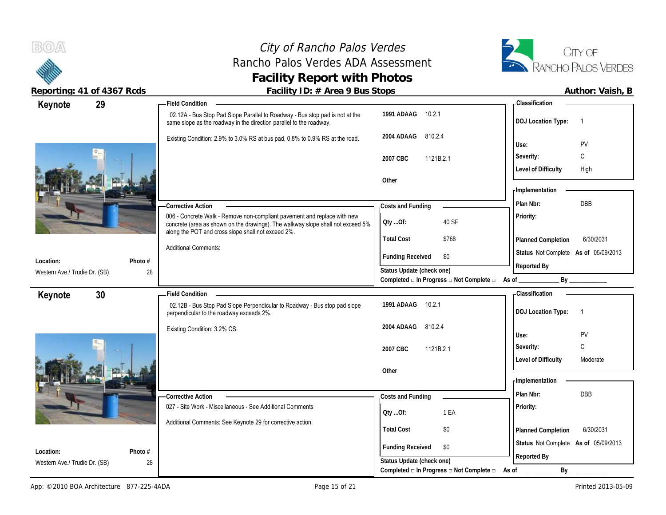



| Reporting: 41 of 4367 Rcds          | Facility ID: # Area 9 Bus Stops                                                                                                                                                                                   |                                                                        |                                      | Author: Vaish, B |
|-------------------------------------|-------------------------------------------------------------------------------------------------------------------------------------------------------------------------------------------------------------------|------------------------------------------------------------------------|--------------------------------------|------------------|
| 29<br>Keynote                       | <b>Field Condition</b>                                                                                                                                                                                            |                                                                        | - Classification                     |                  |
|                                     | 02.12A - Bus Stop Pad Slope Parallel to Roadway - Bus stop pad is not at the<br>same slope as the roadway in the direction parallel to the roadway.                                                               | 1991 ADAAG 10.2.1                                                      | <b>DOJ Location Type:</b>            | $\overline{1}$   |
|                                     | Existing Condition: 2.9% to 3.0% RS at bus pad, 0.8% to 0.9% RS at the road.                                                                                                                                      | 2004 ADAAG 810.2.4                                                     | Use:                                 | PV               |
|                                     |                                                                                                                                                                                                                   | 2007 CBC<br>1121B.2.1                                                  | Severity:                            | $\mathsf{C}$     |
|                                     |                                                                                                                                                                                                                   |                                                                        | <b>Level of Difficulty</b>           | High             |
|                                     |                                                                                                                                                                                                                   | Other                                                                  | <b>Implementation</b>                |                  |
|                                     | -Corrective Action                                                                                                                                                                                                | Costs and Funding                                                      | Plan Nbr:                            | DBB              |
|                                     | 006 - Concrete Walk - Remove non-compliant pavement and replace with new<br>concrete (area as shown on the drawings). The walkway slope shall not exceed 5%<br>along the POT and cross slope shall not exceed 2%. | 40 SF<br>Qty Of:                                                       | Priority:                            |                  |
|                                     |                                                                                                                                                                                                                   | \$768<br><b>Total Cost</b>                                             | Planned Completion                   | 6/30/2031        |
|                                     | <b>Additional Comments:</b>                                                                                                                                                                                       | <b>Funding Received</b><br>\$0                                         | Status Not Complete As of 05/09/2013 |                  |
| Photo #<br>Location:                |                                                                                                                                                                                                                   | Status Update (check one)                                              | Reported By                          |                  |
| 28<br>Western Ave./ Trudie Dr. (SB) |                                                                                                                                                                                                                   | Completed □ In Progress □ Not Complete □ As of                         |                                      | By               |
| 30 <sup>°</sup><br>Keynote          | -Field Condition                                                                                                                                                                                                  |                                                                        | <b>Classification</b>                |                  |
|                                     | 02.12B - Bus Stop Pad Slope Perpendicular to Roadway - Bus stop pad slope<br>perpendicular to the roadway exceeds 2%.                                                                                             | 1991 ADAAG<br>10.2.1                                                   | DOJ Location Type: 1                 |                  |
|                                     | Existing Condition: 3.2% CS.                                                                                                                                                                                      | 2004 ADAAG<br>810.2.4                                                  |                                      |                  |
|                                     |                                                                                                                                                                                                                   |                                                                        | Use:                                 | PV               |
|                                     |                                                                                                                                                                                                                   | 2007 CBC<br>1121B.2.1                                                  | Severity:                            | C                |
|                                     |                                                                                                                                                                                                                   | Other                                                                  | <b>Level of Difficulty</b>           | Moderate         |
|                                     |                                                                                                                                                                                                                   |                                                                        | <b>Implementation</b>                |                  |
|                                     |                                                                                                                                                                                                                   |                                                                        | Plan Nbr:                            | <b>DBB</b>       |
|                                     | - Corrective Action<br>027 - Site Work - Miscellaneous - See Additional Comments                                                                                                                                  | Costs and Funding                                                      | Priority:                            |                  |
|                                     |                                                                                                                                                                                                                   | 1 EA<br>Oty Of:                                                        |                                      |                  |
|                                     | Additional Comments: See Keynote 29 for corrective action.                                                                                                                                                        | \$0<br><b>Total Cost</b>                                               | Planned Completion                   | 6/30/2031        |
| Location:<br>Photo #                |                                                                                                                                                                                                                   | <b>Funding Received</b><br>\$0                                         | Status Not Complete As of 05/09/2013 |                  |
| Western Ave./ Trudie Dr. (SB)<br>28 |                                                                                                                                                                                                                   | Status Update (check one)                                              | Reported By                          |                  |
|                                     |                                                                                                                                                                                                                   | Completed $\square$ In Progress $\square$ Not Complete $\square$ As of | $By_$                                |                  |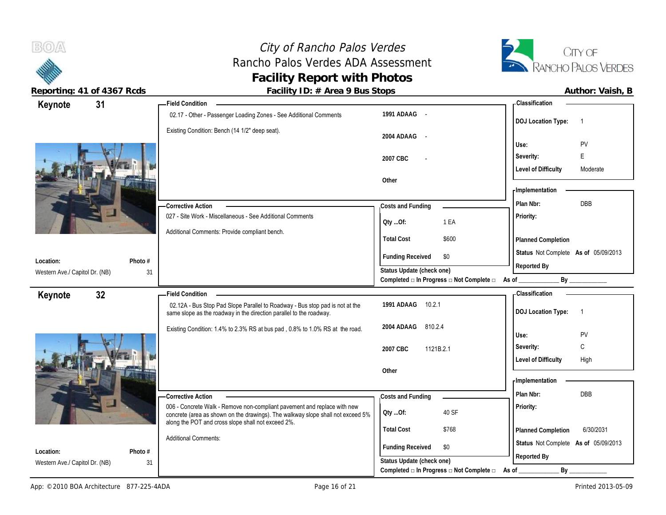## City of Rancho Palos Verdes<br>
ho Palos Verdes ADA Assessment<br>
TA RANCHO PALOS VERDES Rancho Palos Verdes ADA Assessment **Facility Report with Photos**



 $B(0)$ 

|                                             | 31              | - Field Condition                                                                                                                                           |                                                             | - Classification                            |
|---------------------------------------------|-----------------|-------------------------------------------------------------------------------------------------------------------------------------------------------------|-------------------------------------------------------------|---------------------------------------------|
| Keynote                                     |                 | 02.17 - Other - Passenger Loading Zones - See Additional Comments                                                                                           | 1991 ADAAG -                                                | <b>DOJ Location Type:</b><br>$\overline{1}$ |
|                                             |                 | Existing Condition: Bench (14 1/2" deep seat).                                                                                                              | 2004 ADAAG<br>$\sim$ $\sim$                                 | PV<br>Use:                                  |
|                                             |                 |                                                                                                                                                             | 2007 CBC                                                    | Severity:<br>E                              |
|                                             |                 |                                                                                                                                                             |                                                             | <b>Level of Difficulty</b><br>Moderate      |
|                                             |                 |                                                                                                                                                             | Other                                                       |                                             |
|                                             |                 |                                                                                                                                                             |                                                             | <b>Implementation</b><br><b>DBB</b>         |
|                                             |                 | -Corrective Action<br>027 - Site Work - Miscellaneous - See Additional Comments                                                                             | Costs and Funding                                           | Plan Nbr:<br>Priority:                      |
|                                             |                 |                                                                                                                                                             | 1 EA<br>Qty Of:                                             |                                             |
|                                             |                 | Additional Comments: Provide compliant bench.                                                                                                               | <b>Total Cost</b><br>\$600                                  | Planned Completion                          |
|                                             |                 |                                                                                                                                                             | <b>Funding Received</b><br>\$0                              | Status Not Complete As of 05/09/2013        |
| Location:<br>Western Ave./ Capitol Dr. (NB) | Photo #<br>31   |                                                                                                                                                             | Status Update (check one)                                   | Reported By                                 |
|                                             |                 |                                                                                                                                                             | Completed a In Progress a Not Complete a As of              | By _____________                            |
| Keynote                                     | 32 <sub>2</sub> | <b>Field Condition</b>                                                                                                                                      |                                                             | - Classification                            |
|                                             |                 |                                                                                                                                                             |                                                             |                                             |
|                                             |                 | 02.12A - Bus Stop Pad Slope Parallel to Roadway - Bus stop pad is not at the<br>same slope as the roadway in the direction parallel to the roadway.         | 1991 ADAAG<br>10.2.1                                        | <b>DOJ Location Type:</b><br>$\overline{1}$ |
|                                             |                 | Existing Condition: 1.4% to 2.3% RS at bus pad, 0.8% to 1.0% RS at the road.                                                                                | 2004 ADAAG<br>810.2.4                                       |                                             |
|                                             |                 |                                                                                                                                                             |                                                             | PV<br>Use:<br>C<br>Severity:                |
|                                             |                 |                                                                                                                                                             | 2007 CBC<br>1121B.2.1                                       | <b>Level of Difficulty</b><br>High          |
|                                             |                 |                                                                                                                                                             | Other                                                       |                                             |
|                                             |                 |                                                                                                                                                             |                                                             | - Implementation                            |
|                                             |                 | - Corrective Action                                                                                                                                         | Costs and Funding                                           | <b>DBB</b><br>Plan Nbr:                     |
|                                             |                 | 006 - Concrete Walk - Remove non-compliant pavement and replace with new<br>concrete (area as shown on the drawings). The walkway slope shall not exceed 5% | 40 SF<br>Qty Of:                                            | Priority:                                   |
|                                             |                 | along the POT and cross slope shall not exceed 2%.                                                                                                          | <b>Total Cost</b><br>\$768                                  | 6/30/2031<br>Planned Completion             |
|                                             |                 | <b>Additional Comments:</b>                                                                                                                                 |                                                             | Status Not Complete As of 05/09/2013        |
| Location:<br>Western Ave./ Capitol Dr. (NB) | Photo #<br>31   |                                                                                                                                                             | <b>Funding Received</b><br>\$0<br>Status Update (check one) | Reported By                                 |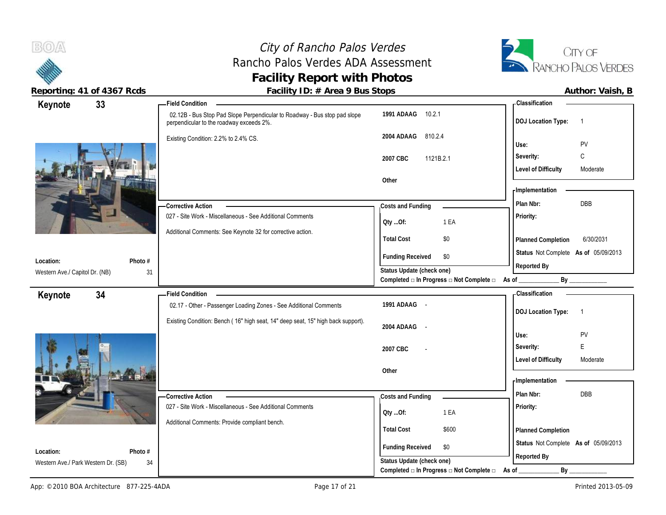



|                                     | Reporting: 41 of 4367 Rcds | Facility ID: # Area 9 Bus Stops                                                                                       |                                                         | Author: Vaish, B                                                     |
|-------------------------------------|----------------------------|-----------------------------------------------------------------------------------------------------------------------|---------------------------------------------------------|----------------------------------------------------------------------|
| Keynote                             | 33                         | Field Condition ___                                                                                                   |                                                         | - Classification                                                     |
|                                     |                            | 02.12B - Bus Stop Pad Slope Perpendicular to Roadway - Bus stop pad slope<br>perpendicular to the roadway exceeds 2%. | 1991 ADAAG 10.2.1                                       | <b>DOJ Location Type:</b><br>$\overline{1}$                          |
|                                     |                            | Existing Condition: 2.2% to 2.4% CS.                                                                                  | 810.2.4<br>2004 ADAAG                                   | Use:<br>PV                                                           |
|                                     |                            |                                                                                                                       | 2007 CBC<br>1121B.2.1                                   | С<br>Severity:                                                       |
|                                     |                            |                                                                                                                       | Other                                                   | <b>Level of Difficulty</b><br>Moderate                               |
|                                     |                            |                                                                                                                       |                                                         | <b>Implementation</b>                                                |
|                                     |                            | -Corrective Action                                                                                                    | Costs and Funding                                       | DBB<br>Plan Nbr:                                                     |
|                                     |                            | 027 - Site Work - Miscellaneous - See Additional Comments                                                             | Oty Of:<br>1 EA                                         | Priority:                                                            |
|                                     |                            | Additional Comments: See Keynote 32 for corrective action.                                                            | <b>Total Cost</b><br>\$0                                | 6/30/2031<br>Planned Completion                                      |
| Location:                           | Photo #                    |                                                                                                                       | <b>Funding Received</b><br>\$0                          | Status Not Complete As of 05/09/2013                                 |
| Western Ave./ Capitol Dr. (NB)      | 31                         |                                                                                                                       | Status Update (check one)                               | Reported By                                                          |
|                                     |                            |                                                                                                                       | Completed □ In Progress □ Not Complete □ As of ________ | By ______________                                                    |
| Keynote                             | 34                         | <b>Field Condition</b><br>02.17 - Other - Passenger Loading Zones - See Additional Comments                           | 1991 ADAAG -                                            | <b>Classification</b><br><b>DOJ Location Type:</b><br>$\overline{1}$ |
|                                     |                            | Existing Condition: Bench (16" high seat, 14" deep seat, 15" high back support).                                      | 2004 ADAAG -                                            |                                                                      |
|                                     |                            |                                                                                                                       |                                                         | PV<br>Use:<br>E<br>Severity:                                         |
|                                     |                            |                                                                                                                       | 2007 CBC                                                | <b>Level of Difficulty</b><br>Moderate                               |
|                                     |                            |                                                                                                                       | Other                                                   |                                                                      |
|                                     |                            |                                                                                                                       |                                                         | - Implementation                                                     |
|                                     |                            | <b>Corrective Action</b>                                                                                              | Costs and Funding                                       | Plan Nbr:<br>DBB                                                     |
|                                     |                            | 027 - Site Work - Miscellaneous - See Additional Comments                                                             | 1 EA<br>Qty Of:                                         | Priority:                                                            |
|                                     |                            | Additional Comments: Provide compliant bench.                                                                         | <b>Total Cost</b><br>\$600                              | Planned Completion                                                   |
| Location:                           | Photo #                    |                                                                                                                       | <b>Funding Received</b><br>\$0                          | Status Not Complete As of 05/09/2013<br>Reported By                  |
| Western Ave./ Park Western Dr. (SB) | 34                         |                                                                                                                       | Status Update (check one)                               |                                                                      |
|                                     |                            |                                                                                                                       | Completed □ In Progress □ Not Complete □                | As of<br>By                                                          |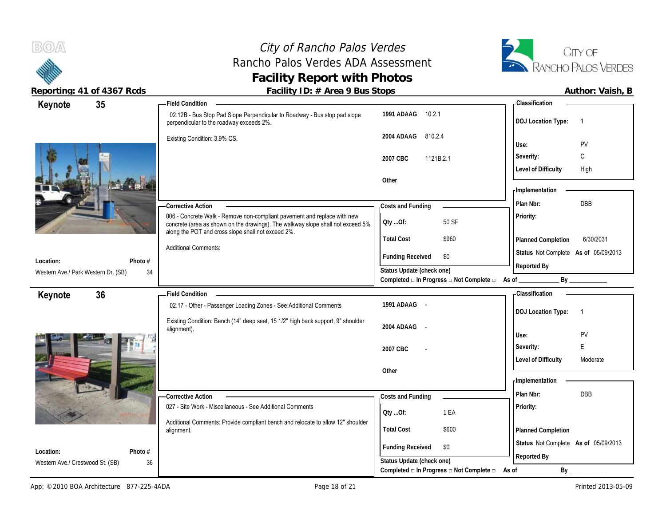## City of Rancho Palos Verdes Rancho Palos Verdes ADA Assessment **Facility Report with Photos**



| Keynote                                          | 35            | <b>Field Condition</b>                                                                                                                |                                                                       | <b>Classification</b>                  |
|--------------------------------------------------|---------------|---------------------------------------------------------------------------------------------------------------------------------------|-----------------------------------------------------------------------|----------------------------------------|
|                                                  |               | 02.12B - Bus Stop Pad Slope Perpendicular to Roadway - Bus stop pad slope<br>perpendicular to the roadway exceeds 2%.                 | 1991 ADAAG<br>10.2.1                                                  | <b>DOJ</b> Location Type:              |
|                                                  |               | Existing Condition: 3.9% CS.                                                                                                          | 2004 ADAAG<br>810.2.4                                                 | PV<br>Use:                             |
|                                                  |               |                                                                                                                                       |                                                                       | C<br>Severity:                         |
|                                                  |               |                                                                                                                                       | 2007 CBC<br>1121B.2.1                                                 | <b>Level of Difficulty</b>             |
|                                                  |               |                                                                                                                                       | Other                                                                 | High                                   |
|                                                  |               |                                                                                                                                       |                                                                       | - Implementation                       |
|                                                  |               | <b>Corrective Action</b>                                                                                                              | Costs and Funding                                                     | DBB<br>Plan Nbr:                       |
|                                                  |               | 006 - Concrete Walk - Remove non-compliant pavement and replace with new                                                              |                                                                       | <b>Priority:</b>                       |
|                                                  |               | concrete (area as shown on the drawings). The walkway slope shall not exceed 5%<br>along the POT and cross slope shall not exceed 2%. | 50 SF<br>Qty Of:                                                      |                                        |
|                                                  |               |                                                                                                                                       | <b>Total Cost</b><br>\$960                                            | 6/30/2031<br>Planned Completion        |
|                                                  |               | <b>Additional Comments:</b>                                                                                                           | <b>Funding Received</b><br>\$0                                        | Status Not Complete As of 05/09/2013   |
| Location:<br>Western Ave./ Park Western Dr. (SB) | Photo #<br>34 |                                                                                                                                       | Status Update (check one)                                             | Reported By                            |
|                                                  |               |                                                                                                                                       | Completed □ In Progress □ Not Complete □                              | By<br>As of                            |
| Keynote                                          | 36            | <b>Field Condition</b>                                                                                                                |                                                                       | Classification                         |
|                                                  |               | 02.17 - Other - Passenger Loading Zones - See Additional Comments                                                                     | 1991 ADAAG -                                                          | <b>DOJ</b> Location Type:              |
|                                                  |               |                                                                                                                                       |                                                                       |                                        |
|                                                  |               |                                                                                                                                       |                                                                       |                                        |
|                                                  |               | Existing Condition: Bench (14" deep seat, 15 1/2" high back support, 9" shoulder<br>alignment).                                       | 2004 ADAAG -                                                          | PV<br>Use:                             |
|                                                  |               |                                                                                                                                       |                                                                       | E<br>Severity:                         |
|                                                  |               |                                                                                                                                       | 2007 CBC                                                              | <b>Level of Difficulty</b><br>Moderate |
|                                                  |               |                                                                                                                                       | Other                                                                 |                                        |
|                                                  |               |                                                                                                                                       |                                                                       | - Implementation                       |
|                                                  |               | <b>Corrective Action</b>                                                                                                              | Costs and Funding                                                     | Plan Nbr:<br><b>DBB</b>                |
|                                                  |               | 027 - Site Work - Miscellaneous - See Additional Comments                                                                             | 1 EA                                                                  | Priority:                              |
|                                                  |               | Additional Comments: Provide compliant bench and relocate to allow 12" shoulder                                                       | Oty Of:                                                               |                                        |
|                                                  |               | alignment.                                                                                                                            | <b>Total Cost</b><br>\$600                                            | <b>Planned Completion</b>              |
| Location:                                        |               |                                                                                                                                       | <b>Funding Received</b><br>\$0                                        | Status Not Complete As of 05/09/2013   |
| Western Ave./ Crestwood St. (SB)                 | Photo #<br>36 |                                                                                                                                       | Status Update (check one)<br>Completed □ In Progress □ Not Complete □ | Reported By<br>$By_$                   |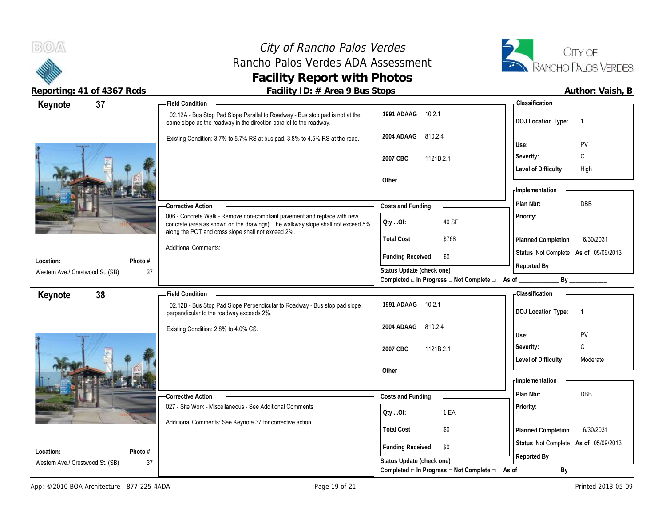**BOA** 

## City of Rancho Palos Verdes Rancho Palos Verdes ADA Assessment **Facility Report with Photos**



**Reporting: 41 of 4367 Rcds Facility ID: # Area 9 Bus Stops Author: Vaish, B**

| 37<br>Keynote                                            | <b>Field Condition</b>                                                                                                                              |                                                                          | <b>Classification</b>                       |
|----------------------------------------------------------|-----------------------------------------------------------------------------------------------------------------------------------------------------|--------------------------------------------------------------------------|---------------------------------------------|
|                                                          | 02.12A - Bus Stop Pad Slope Parallel to Roadway - Bus stop pad is not at the<br>same slope as the roadway in the direction parallel to the roadway. | 1991 ADAAG<br>10.2.1                                                     | <b>DOJ</b> Location Type:<br>-1             |
|                                                          | Existing Condition: 3.7% to 5.7% RS at bus pad, 3.8% to 4.5% RS at the road.                                                                        | 2004 ADAAG<br>810.2.4                                                    | PV<br>Use:                                  |
|                                                          |                                                                                                                                                     |                                                                          | С<br>Severity:                              |
|                                                          |                                                                                                                                                     | 2007 CBC<br>1121B.2.1                                                    | <b>Level of Difficulty</b><br>High          |
|                                                          |                                                                                                                                                     | Other                                                                    |                                             |
|                                                          |                                                                                                                                                     |                                                                          | - Implementation                            |
|                                                          | <b>Corrective Action</b>                                                                                                                            | Costs and Funding                                                        | DBB<br>Plan Nbr:                            |
|                                                          | 006 - Concrete Walk - Remove non-compliant pavement and replace with new                                                                            | 40 SF                                                                    | Priority:                                   |
|                                                          | concrete (area as shown on the drawings). The walkway slope shall not exceed 5%<br>along the POT and cross slope shall not exceed 2%.               | QtyOf:                                                                   |                                             |
|                                                          | <b>Additional Comments:</b>                                                                                                                         | <b>Total Cost</b><br>\$768                                               | 6/30/2031<br>Planned Completion             |
| Photo #<br>Location:                                     |                                                                                                                                                     | <b>Funding Received</b><br>\$0                                           | Status Not Complete As of 05/09/2013        |
| Western Ave./ Crestwood St. (SB)                         | 37                                                                                                                                                  | Status Update (check one)                                                | Reported By                                 |
|                                                          |                                                                                                                                                     | Completed $\square$ In Progress $\square$ Not Complete $\square$ As of _ |                                             |
|                                                          |                                                                                                                                                     |                                                                          |                                             |
| 38<br>Keynote                                            | <b>Field Condition</b>                                                                                                                              |                                                                          | <b>Classification</b>                       |
|                                                          | 02.12B - Bus Stop Pad Slope Perpendicular to Roadway - Bus stop pad slope<br>perpendicular to the roadway exceeds 2%.                               | 10.2.1<br>1991 ADAAG                                                     | <b>DOJ</b> Location Type:<br>$\overline{1}$ |
|                                                          | Existing Condition: 2.8% to 4.0% CS.                                                                                                                | 810.2.4<br>2004 ADAAG                                                    |                                             |
|                                                          |                                                                                                                                                     |                                                                          | PV<br>Use:                                  |
|                                                          |                                                                                                                                                     | 2007 CBC<br>1121B.2.1                                                    | C<br>Severity:                              |
|                                                          |                                                                                                                                                     |                                                                          | <b>Level of Difficulty</b><br>Moderate      |
|                                                          |                                                                                                                                                     | Other                                                                    | <b>Implementation</b>                       |
|                                                          | -Corrective Action                                                                                                                                  |                                                                          | Plan Nbr:<br><b>DBB</b>                     |
|                                                          | 027 - Site Work - Miscellaneous - See Additional Comments                                                                                           | Costs and Funding                                                        | Priority:                                   |
|                                                          |                                                                                                                                                     | 1 EA<br>Qty Of:                                                          |                                             |
|                                                          | Additional Comments: See Keynote 37 for corrective action.                                                                                          | \$0<br><b>Total Cost</b>                                                 | 6/30/2031<br>Planned Completion             |
|                                                          |                                                                                                                                                     | <b>Funding Received</b><br>\$0                                           | Status Not Complete As of 05/09/2013        |
| Photo #<br>Location:<br>Western Ave./ Crestwood St. (SB) | 37                                                                                                                                                  | Status Update (check one)                                                | Reported By                                 |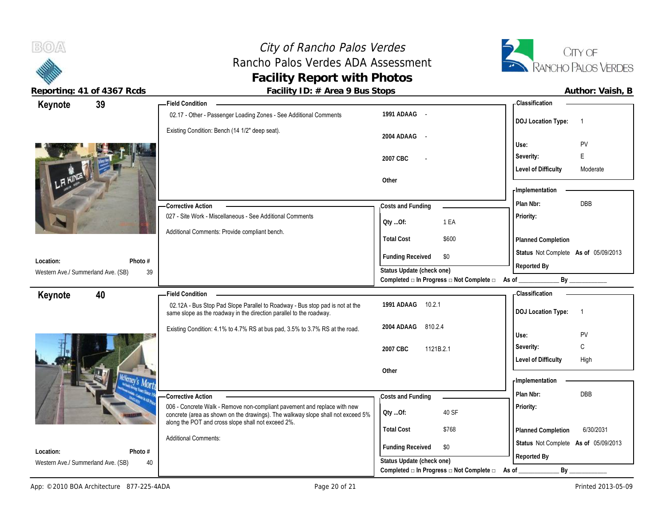City of Rancho Palos Verdes Rancho Palos Verdes ADA Assessment **Facility of Rancho Palos Verdes**<br> **Facility Report with Photos**<br> **Facility Report with Photos**<br> **Facility Report with Photos** 



 $B(0)$ 

**Reporting: 41 of 4367 Rcds Facility ID: # Area 9 Bus Stops** 

|  | Author: Vaish, B |  |  |
|--|------------------|--|--|
|--|------------------|--|--|

| Keynote                                         | 39            | - Field Condition                                                                                                                                           |                                                                                              | - Classification                                     |
|-------------------------------------------------|---------------|-------------------------------------------------------------------------------------------------------------------------------------------------------------|----------------------------------------------------------------------------------------------|------------------------------------------------------|
|                                                 |               | 02.17 - Other - Passenger Loading Zones - See Additional Comments                                                                                           | 1991 ADAAG -                                                                                 | <b>DOJ Location Type:</b><br>$\overline{1}$          |
|                                                 |               | Existing Condition: Bench (14 1/2" deep seat).                                                                                                              | 2004 ADAAG                                                                                   | PV<br>Use:                                           |
|                                                 |               |                                                                                                                                                             | 2007 CBC                                                                                     | Severity:<br>E                                       |
|                                                 |               |                                                                                                                                                             |                                                                                              | <b>Level of Difficulty</b><br>Moderate               |
|                                                 |               |                                                                                                                                                             | Other                                                                                        |                                                      |
|                                                 |               |                                                                                                                                                             |                                                                                              | - Implementation                                     |
|                                                 |               | - Corrective Action                                                                                                                                         | Costs and Funding                                                                            | DBB<br>Plan Nbr:                                     |
|                                                 |               | 027 - Site Work - Miscellaneous - See Additional Comments                                                                                                   | 1 EA<br>Qty Of:                                                                              | Priority:                                            |
|                                                 |               | Additional Comments: Provide compliant bench.                                                                                                               | <b>Total Cost</b><br>\$600                                                                   | Planned Completion                                   |
|                                                 |               |                                                                                                                                                             | \$0                                                                                          | Status Not Complete As of 05/09/2013                 |
| Location:                                       | Photo #       |                                                                                                                                                             | <b>Funding Received</b>                                                                      | Reported By                                          |
| Western Ave./ Summerland Ave. (SB)              | 39            |                                                                                                                                                             | Status Update (check one)<br>Completed $\Box$ In Progress $\Box$ Not Complete $\Box$ As of _ | By                                                   |
| Keynote                                         | 40            | -Field Condition                                                                                                                                            |                                                                                              | - Classification                                     |
|                                                 |               | 02.12A - Bus Stop Pad Slope Parallel to Roadway - Bus stop pad is not at the<br>same slope as the roadway in the direction parallel to the roadway.         | 1991 ADAAG<br>10.2.1                                                                         | <b>DOJ Location Type:</b><br>$\overline{1}$          |
|                                                 |               | Existing Condition: 4.1% to 4.7% RS at bus pad, 3.5% to 3.7% RS at the road.                                                                                | 810.2.4<br>2004 ADAAG                                                                        |                                                      |
|                                                 |               |                                                                                                                                                             |                                                                                              |                                                      |
|                                                 |               |                                                                                                                                                             |                                                                                              | Use:<br>PV                                           |
|                                                 |               |                                                                                                                                                             | 2007 CBC<br>1121B.2.1                                                                        | С<br>Severity:<br><b>Level of Difficulty</b><br>High |
|                                                 |               |                                                                                                                                                             | Other                                                                                        |                                                      |
|                                                 |               |                                                                                                                                                             |                                                                                              | - Implementation                                     |
|                                                 |               | <b>Corrective Action</b>                                                                                                                                    | Costs and Funding                                                                            | DBB<br>Plan Nbr:                                     |
|                                                 |               | 006 - Concrete Walk - Remove non-compliant pavement and replace with new<br>concrete (area as shown on the drawings). The walkway slope shall not exceed 5% | 40 SF<br>Qty Of:                                                                             | Priority:                                            |
|                                                 |               | along the POT and cross slope shall not exceed 2%.                                                                                                          | <b>Total Cost</b><br>\$768                                                                   | 6/30/2031<br>Planned Completion                      |
|                                                 |               | <b>Additional Comments:</b>                                                                                                                                 |                                                                                              | Status Not Complete As of 05/09/2013                 |
| Location:<br>Western Ave./ Summerland Ave. (SB) | Photo #<br>40 |                                                                                                                                                             | <b>Funding Received</b><br>\$0<br>Status Update (check one)                                  | Reported By                                          |